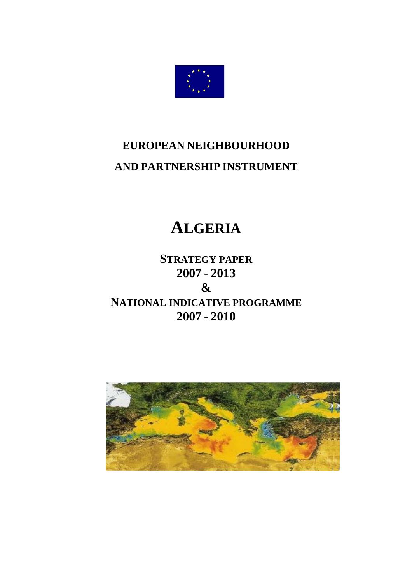

# **EUROPEAN NEIGHBOURHOOD AND PARTNERSHIP INSTRUMENT**

# **ALGERIA**

**STRATEGY PAPER 2007 - 2013 & NATIONAL INDICATIVE PROGRAMME 2007 - 2010**

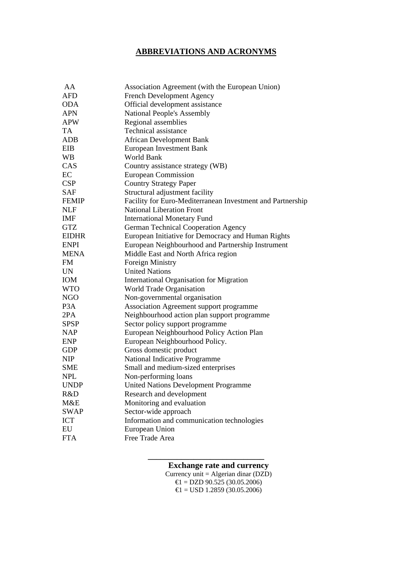# **ABBREVIATIONS AND ACRONYMS**

| AA               | Association Agreement (with the European Union)            |
|------------------|------------------------------------------------------------|
| <b>AFD</b>       | <b>French Development Agency</b>                           |
| ODA              | Official development assistance                            |
| APN              | National People's Assembly                                 |
| <b>APW</b>       | Regional assemblies                                        |
| TA               | Technical assistance                                       |
| ADB              | <b>African Development Bank</b>                            |
| EIB              | <b>European Investment Bank</b>                            |
| WВ               | World Bank                                                 |
| CAS              | Country assistance strategy (WB)                           |
| EC               | <b>European Commission</b>                                 |
| <b>CSP</b>       | <b>Country Strategy Paper</b>                              |
| <b>SAF</b>       | Structural adjustment facility                             |
| <b>FEMIP</b>     | Facility for Euro-Mediterranean Investment and Partnership |
| <b>NLF</b>       | <b>National Liberation Front</b>                           |
| <b>IMF</b>       | <b>International Monetary Fund</b>                         |
| <b>GTZ</b>       | <b>German Technical Cooperation Agency</b>                 |
| <b>EIDHR</b>     | European Initiative for Democracy and Human Rights         |
| <b>ENPI</b>      | European Neighbourhood and Partnership Instrument          |
| <b>MENA</b>      | Middle East and North Africa region                        |
| FM               | <b>Foreign Ministry</b>                                    |
| <b>UN</b>        | <b>United Nations</b>                                      |
| IOM              | International Organisation for Migration                   |
| <b>WTO</b>       | World Trade Organisation                                   |
| NGO              | Non-governmental organisation                              |
| P <sub>3</sub> A | Association Agreement support programme                    |
| 2PA              | Neighbourhood action plan support programme                |
| SPSP             | Sector policy support programme                            |
| <b>NAP</b>       | European Neighbourhood Policy Action Plan                  |
| ENP              | European Neighbourhood Policy.                             |
| <b>GDP</b>       | Gross domestic product                                     |
| <b>NIP</b>       | National Indicative Programme                              |
| <b>SME</b>       | Small and medium-sized enterprises                         |
| <b>NPL</b>       | Non-performing loans                                       |
| <b>UNDP</b>      | <b>United Nations Development Programme</b>                |
| R&D              | Research and development                                   |
| M&E              | Monitoring and evaluation                                  |
| <b>SWAP</b>      | Sector-wide approach                                       |
| <b>ICT</b>       | Information and communication technologies                 |
| EU               | European Union                                             |
| <b>FTA</b>       | Free Trade Area                                            |
|                  |                                                            |

**Exchange rate and currency**

**\_\_\_\_\_\_\_\_\_\_\_\_\_\_\_\_\_\_\_\_\_\_\_\_\_\_\_\_** 

Currency unit = Algerian dinar  $(DZD)$  $\epsilon$ 1 = DZD 90.525 (30.05.2006)  $\text{E1} = \text{USD} 1.2859 \, (30.05.2006)$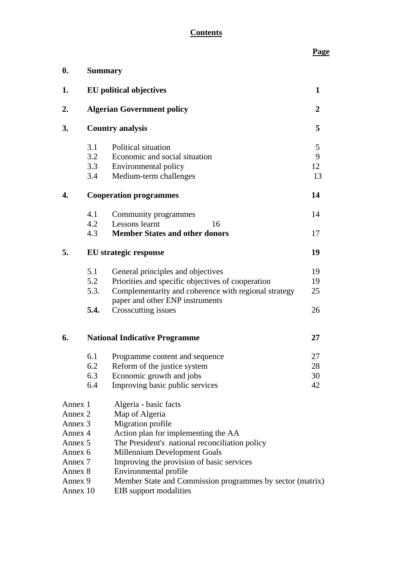# **Contents**

# **Page**

| $\boldsymbol{0}$ . |                                                           | <b>Summary</b>                                                                          |    |  |  |  |  |  |  |
|--------------------|-----------------------------------------------------------|-----------------------------------------------------------------------------------------|----|--|--|--|--|--|--|
| 1.                 | <b>EU</b> political objectives                            |                                                                                         |    |  |  |  |  |  |  |
| 2.                 | <b>Algerian Government policy</b>                         |                                                                                         |    |  |  |  |  |  |  |
| 3.                 | <b>Country analysis</b>                                   |                                                                                         |    |  |  |  |  |  |  |
|                    | 3.1                                                       | Political situation                                                                     | 5  |  |  |  |  |  |  |
|                    | 3.2                                                       | Economic and social situation                                                           | 9  |  |  |  |  |  |  |
|                    | 3.3                                                       | Environmental policy                                                                    | 12 |  |  |  |  |  |  |
|                    | 3.4                                                       | Medium-term challenges                                                                  | 13 |  |  |  |  |  |  |
| 4.                 |                                                           | <b>Cooperation programmes</b>                                                           | 14 |  |  |  |  |  |  |
|                    | 4.1                                                       | Community programmes                                                                    | 14 |  |  |  |  |  |  |
|                    | 4.2                                                       | Lessons learnt<br>16                                                                    |    |  |  |  |  |  |  |
|                    | 4.3                                                       | <b>Member States and other donors</b>                                                   | 17 |  |  |  |  |  |  |
| 5.                 | <b>EU</b> strategic response                              |                                                                                         |    |  |  |  |  |  |  |
|                    | 5.1                                                       | General principles and objectives                                                       | 19 |  |  |  |  |  |  |
|                    | 5.2                                                       | Priorities and specific objectives of cooperation                                       | 19 |  |  |  |  |  |  |
|                    | 5.3.                                                      | Complementarity and coherence with regional strategy<br>paper and other ENP instruments | 25 |  |  |  |  |  |  |
|                    | 5.4.                                                      | Crosscutting issues                                                                     | 26 |  |  |  |  |  |  |
| 6.                 |                                                           | <b>National Indicative Programme</b>                                                    | 27 |  |  |  |  |  |  |
|                    | 6.1                                                       | Programme content and sequence                                                          | 27 |  |  |  |  |  |  |
|                    | 6.2                                                       | Reform of the justice system                                                            | 28 |  |  |  |  |  |  |
|                    | 6.3                                                       | Economic growth and jobs                                                                | 30 |  |  |  |  |  |  |
|                    | 6.4                                                       | Improving basic public services                                                         | 42 |  |  |  |  |  |  |
| Annex 1            |                                                           | Algeria - basic facts                                                                   |    |  |  |  |  |  |  |
| Annex 2            |                                                           | Map of Algeria                                                                          |    |  |  |  |  |  |  |
| Annex 3            |                                                           | Migration profile                                                                       |    |  |  |  |  |  |  |
| Annex 4            |                                                           | Action plan for implementing the AA                                                     |    |  |  |  |  |  |  |
| Annex 5            |                                                           | The President's national reconciliation policy                                          |    |  |  |  |  |  |  |
| Annex 6            |                                                           | Millennium Development Goals                                                            |    |  |  |  |  |  |  |
| Annex 7            |                                                           | Improving the provision of basic services                                               |    |  |  |  |  |  |  |
| Annex 8            |                                                           | Environmental profile                                                                   |    |  |  |  |  |  |  |
| Annex 9            | Member State and Commission programmes by sector (matrix) |                                                                                         |    |  |  |  |  |  |  |
| Annex 10           |                                                           | EIB support modalities                                                                  |    |  |  |  |  |  |  |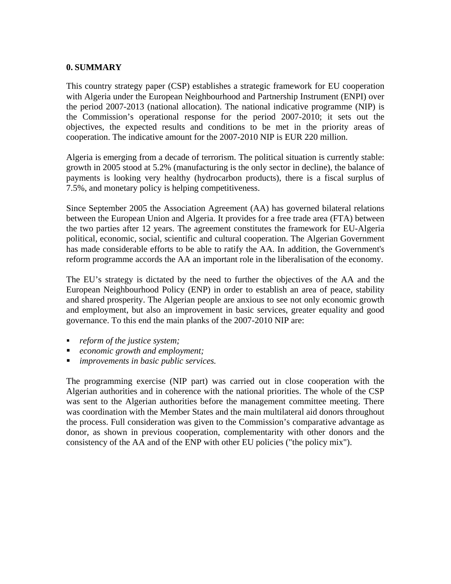#### **0. SUMMARY**

This country strategy paper (CSP) establishes a strategic framework for EU cooperation with Algeria under the European Neighbourhood and Partnership Instrument (ENPI) over the period 2007-2013 (national allocation). The national indicative programme (NIP) is the Commission's operational response for the period 2007-2010; it sets out the objectives, the expected results and conditions to be met in the priority areas of cooperation. The indicative amount for the 2007-2010 NIP is EUR 220 million.

Algeria is emerging from a decade of terrorism. The political situation is currently stable: growth in 2005 stood at 5.2% (manufacturing is the only sector in decline), the balance of payments is looking very healthy (hydrocarbon products), there is a fiscal surplus of 7.5%, and monetary policy is helping competitiveness.

Since September 2005 the Association Agreement (AA) has governed bilateral relations between the European Union and Algeria. It provides for a free trade area (FTA) between the two parties after 12 years. The agreement constitutes the framework for EU-Algeria political, economic, social, scientific and cultural cooperation. The Algerian Government has made considerable efforts to be able to ratify the AA. In addition, the Government's reform programme accords the AA an important role in the liberalisation of the economy.

The EU's strategy is dictated by the need to further the objectives of the AA and the European Neighbourhood Policy (ENP) in order to establish an area of peace, stability and shared prosperity. The Algerian people are anxious to see not only economic growth and employment, but also an improvement in basic services, greater equality and good governance. To this end the main planks of the 2007-2010 NIP are:

- *reform of the justice system;*
- *economic growth and employment;*
- *improvements in basic public services.*

The programming exercise (NIP part) was carried out in close cooperation with the Algerian authorities and in coherence with the national priorities. The whole of the CSP was sent to the Algerian authorities before the management committee meeting. There was coordination with the Member States and the main multilateral aid donors throughout the process. Full consideration was given to the Commission's comparative advantage as donor, as shown in previous cooperation, complementarity with other donors and the consistency of the AA and of the ENP with other EU policies ("the policy mix").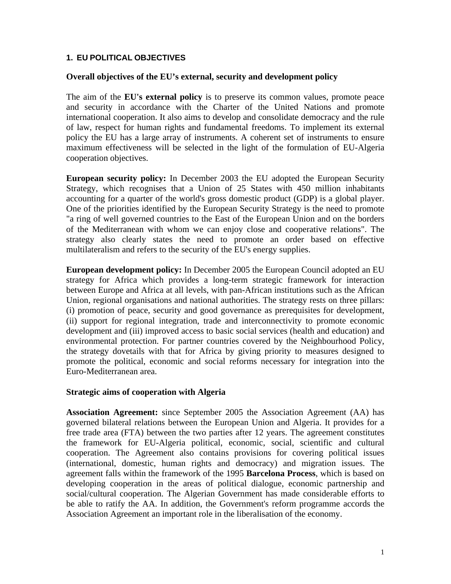#### **1. EU POLITICAL OBJECTIVES**

#### **Overall objectives of the EU's external, security and development policy**

The aim of the **EU's external policy** is to preserve its common values, promote peace and security in accordance with the Charter of the United Nations and promote international cooperation. It also aims to develop and consolidate democracy and the rule of law, respect for human rights and fundamental freedoms. To implement its external policy the EU has a large array of instruments. A coherent set of instruments to ensure maximum effectiveness will be selected in the light of the formulation of EU-Algeria cooperation objectives.

**European security policy:** In December 2003 the EU adopted the European Security Strategy, which recognises that a Union of 25 States with 450 million inhabitants accounting for a quarter of the world's gross domestic product (GDP) is a global player. One of the priorities identified by the European Security Strategy is the need to promote "a ring of well governed countries to the East of the European Union and on the borders of the Mediterranean with whom we can enjoy close and cooperative relations". The strategy also clearly states the need to promote an order based on effective multilateralism and refers to the security of the EU's energy supplies.

**European development policy:** In December 2005 the European Council adopted an EU strategy for Africa which provides a long-term strategic framework for interaction between Europe and Africa at all levels, with pan-African institutions such as the African Union, regional organisations and national authorities. The strategy rests on three pillars: (i) promotion of peace, security and good governance as prerequisites for development, (ii) support for regional integration, trade and interconnectivity to promote economic development and (iii) improved access to basic social services (health and education) and environmental protection. For partner countries covered by the Neighbourhood Policy, the strategy dovetails with that for Africa by giving priority to measures designed to promote the political, economic and social reforms necessary for integration into the Euro-Mediterranean area.

#### **Strategic aims of cooperation with Algeria**

**Association Agreement:** since September 2005 the Association Agreement (AA) has governed bilateral relations between the European Union and Algeria. It provides for a free trade area (FTA) between the two parties after 12 years. The agreement constitutes the framework for EU-Algeria political, economic, social, scientific and cultural cooperation. The Agreement also contains provisions for covering political issues (international, domestic, human rights and democracy) and migration issues. The agreement falls within the framework of the 1995 **Barcelona Process**, which is based on developing cooperation in the areas of political dialogue, economic partnership and social/cultural cooperation. The Algerian Government has made considerable efforts to be able to ratify the AA. In addition, the Government's reform programme accords the Association Agreement an important role in the liberalisation of the economy.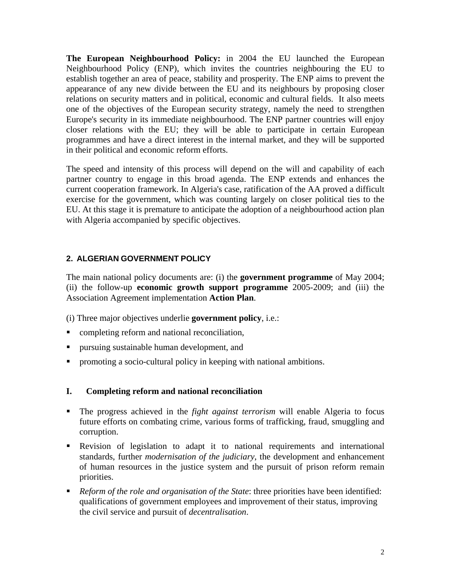**The European Neighbourhood Policy:** in 2004 the EU launched the European Neighbourhood Policy (ENP), which invites the countries neighbouring the EU to establish together an area of peace, stability and prosperity. The ENP aims to prevent the appearance of any new divide between the EU and its neighbours by proposing closer relations on security matters and in political, economic and cultural fields. It also meets one of the objectives of the European security strategy, namely the need to strengthen Europe's security in its immediate neighbourhood. The ENP partner countries will enjoy closer relations with the EU; they will be able to participate in certain European programmes and have a direct interest in the internal market, and they will be supported in their political and economic reform efforts.

The speed and intensity of this process will depend on the will and capability of each partner country to engage in this broad agenda. The ENP extends and enhances the current cooperation framework. In Algeria's case, ratification of the AA proved a difficult exercise for the government, which was counting largely on closer political ties to the EU. At this stage it is premature to anticipate the adoption of a neighbourhood action plan with Algeria accompanied by specific objectives.

#### **2. ALGERIAN GOVERNMENT POLICY**

The main national policy documents are: (i) the **government programme** of May 2004; (ii) the follow-up **economic growth support programme** 2005-2009; and (iii) the Association Agreement implementation **Action Plan**.

(i) Three major objectives underlie **government policy**, i.e.:

- completing reform and national reconciliation,
- pursuing sustainable human development, and
- promoting a socio-cultural policy in keeping with national ambitions.

# **I. Completing reform and national reconciliation**

- The progress achieved in the *fight against terrorism* will enable Algeria to focus future efforts on combating crime, various forms of trafficking, fraud, smuggling and corruption.
- Revision of legislation to adapt it to national requirements and international standards, further *modernisation of the judiciary*, the development and enhancement of human resources in the justice system and the pursuit of prison reform remain priorities.
- *Reform of the role and organisation of the State*: three priorities have been identified: qualifications of government employees and improvement of their status, improving the civil service and pursuit of *decentralisation*.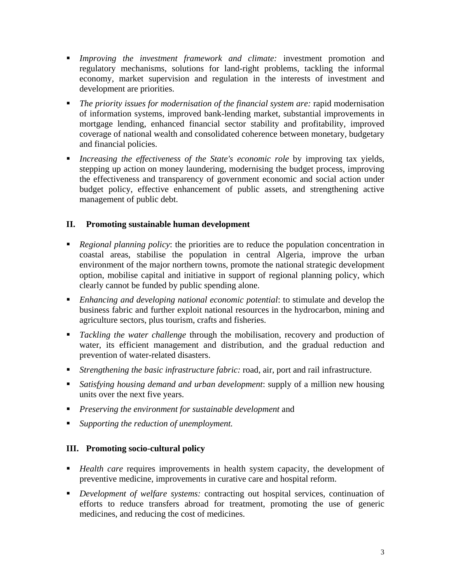- *Improving the investment framework and climate:* investment promotion and regulatory mechanisms, solutions for land-right problems, tackling the informal economy, market supervision and regulation in the interests of investment and development are priorities.
- **•** *The priority issues for modernisation of the financial system are: rapid modernisation* of information systems, improved bank-lending market, substantial improvements in mortgage lending, enhanced financial sector stability and profitability, improved coverage of national wealth and consolidated coherence between monetary, budgetary and financial policies.
- *Increasing the effectiveness of the State's economic role* by improving tax yields, stepping up action on money laundering, modernising the budget process, improving the effectiveness and transparency of government economic and social action under budget policy, effective enhancement of public assets, and strengthening active management of public debt.

# **II. Promoting sustainable human development**

- *Regional planning policy*: the priorities are to reduce the population concentration in coastal areas, stabilise the population in central Algeria, improve the urban environment of the major northern towns, promote the national strategic development option, mobilise capital and initiative in support of regional planning policy, which clearly cannot be funded by public spending alone.
- *Enhancing and developing national economic potential*: to stimulate and develop the business fabric and further exploit national resources in the hydrocarbon, mining and agriculture sectors, plus tourism, crafts and fisheries.
- *Tackling the water challenge* through the mobilisation, recovery and production of water, its efficient management and distribution, and the gradual reduction and prevention of water-related disasters.
- *Strengthening the basic infrastructure fabric:* road, air, port and rail infrastructure.
- *Satisfying housing demand and urban development*: supply of a million new housing units over the next five years.
- *Preserving the environment for sustainable development* and
- *Supporting the reduction of unemployment.*

# **III. Promoting socio-cultural policy**

- *Health care* requires improvements in health system capacity, the development of preventive medicine, improvements in curative care and hospital reform.
- *Development of welfare systems:* contracting out hospital services, continuation of efforts to reduce transfers abroad for treatment, promoting the use of generic medicines, and reducing the cost of medicines.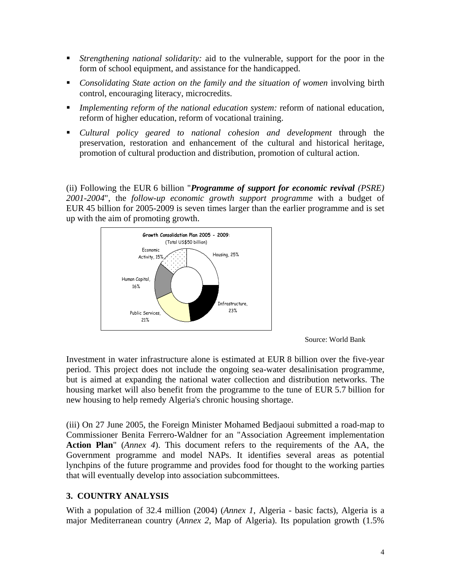- *Strengthening national solidarity:* aid to the vulnerable, support for the poor in the form of school equipment, and assistance for the handicapped.
- *Consolidating State action on the family and the situation of women* involving birth control, encouraging literacy, microcredits.
- *Implementing reform of the national education system:* reform of national education, reform of higher education, reform of vocational training.
- *Cultural policy geared to national cohesion and development* through the preservation, restoration and enhancement of the cultural and historical heritage, promotion of cultural production and distribution, promotion of cultural action.

(ii) Following the EUR 6 billion "*Programme of support for economic revival (PSRE) 2001-2004*", the *follow-up economic growth support programme* with a budget of EUR 45 billion for 2005-2009 is seven times larger than the earlier programme and is set up with the aim of promoting growth.





Investment in water infrastructure alone is estimated at EUR 8 billion over the five-year period. This project does not include the ongoing sea-water desalinisation programme, but is aimed at expanding the national water collection and distribution networks. The housing market will also benefit from the programme to the tune of EUR 5.7 billion for new housing to help remedy Algeria's chronic housing shortage.

(iii) On 27 June 2005, the Foreign Minister Mohamed Bedjaoui submitted a road-map to Commissioner Benita Ferrero-Waldner for an "Association Agreement implementation **Action Plan**" (*Annex 4*). This document refers to the requirements of the AA, the Government programme and model NAPs. It identifies several areas as potential lynchpins of the future programme and provides food for thought to the working parties that will eventually develop into association subcommittees.

# **3. COUNTRY ANALYSIS**

With a population of 32.4 million (2004) (*Annex 1*, Algeria - basic facts), Algeria is a major Mediterranean country (*Annex 2*, Map of Algeria). Its population growth (1.5%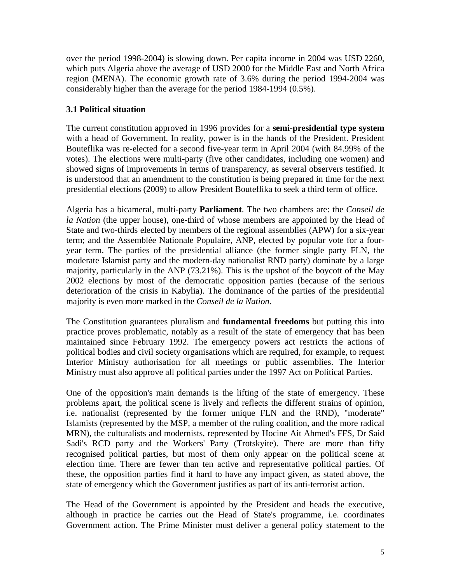over the period 1998-2004) is slowing down. Per capita income in 2004 was USD 2260, which puts Algeria above the average of USD 2000 for the Middle East and North Africa region (MENA). The economic growth rate of 3.6% during the period 1994-2004 was considerably higher than the average for the period 1984-1994 (0.5%).

# **3.1 Political situation**

The current constitution approved in 1996 provides for a **semi-presidential type system** with a head of Government. In reality, power is in the hands of the President. President Bouteflika was re-elected for a second five-year term in April 2004 (with 84.99% of the votes). The elections were multi-party (five other candidates, including one women) and showed signs of improvements in terms of transparency, as several observers testified. It is understood that an amendment to the constitution is being prepared in time for the next presidential elections (2009) to allow President Bouteflika to seek a third term of office.

Algeria has a bicameral, multi-party **Parliament**. The two chambers are: the *Conseil de la Nation* (the upper house), one-third of whose members are appointed by the Head of State and two-thirds elected by members of the regional assemblies (APW) for a six-year term; and the Assemblée Nationale Populaire, ANP, elected by popular vote for a fouryear term. The parties of the presidential alliance (the former single party FLN, the moderate Islamist party and the modern-day nationalist RND party) dominate by a large majority, particularly in the ANP (73.21%). This is the upshot of the boycott of the May 2002 elections by most of the democratic opposition parties (because of the serious deterioration of the crisis in Kabylia). The dominance of the parties of the presidential majority is even more marked in the *Conseil de la Nation*.

The Constitution guarantees pluralism and **fundamental freedoms** but putting this into practice proves problematic, notably as a result of the state of emergency that has been maintained since February 1992. The emergency powers act restricts the actions of political bodies and civil society organisations which are required, for example, to request Interior Ministry authorisation for all meetings or public assemblies. The Interior Ministry must also approve all political parties under the 1997 Act on Political Parties.

One of the opposition's main demands is the lifting of the state of emergency. These problems apart, the political scene is lively and reflects the different strains of opinion, i.e. nationalist (represented by the former unique FLN and the RND), "moderate" Islamists (represented by the MSP, a member of the ruling coalition, and the more radical MRN), the culturalists and modernists, represented by Hocine Ait Ahmed's FFS, Dr Said Sadi's RCD party and the Workers' Party (Trotskyite). There are more than fifty recognised political parties, but most of them only appear on the political scene at election time. There are fewer than ten active and representative political parties. Of these, the opposition parties find it hard to have any impact given, as stated above, the state of emergency which the Government justifies as part of its anti-terrorist action.

The Head of the Government is appointed by the President and heads the executive, although in practice he carries out the Head of State's programme, i.e. coordinates Government action. The Prime Minister must deliver a general policy statement to the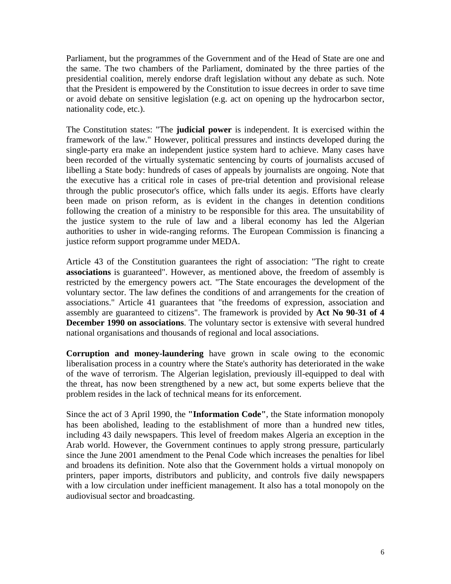Parliament, but the programmes of the Government and of the Head of State are one and the same. The two chambers of the Parliament, dominated by the three parties of the presidential coalition, merely endorse draft legislation without any debate as such. Note that the President is empowered by the Constitution to issue decrees in order to save time or avoid debate on sensitive legislation (e.g. act on opening up the hydrocarbon sector, nationality code, etc.).

The Constitution states: "The **judicial power** is independent. It is exercised within the framework of the law." However, political pressures and instincts developed during the single-party era make an independent justice system hard to achieve. Many cases have been recorded of the virtually systematic sentencing by courts of journalists accused of libelling a State body: hundreds of cases of appeals by journalists are ongoing. Note that the executive has a critical role in cases of pre-trial detention and provisional release through the public prosecutor's office, which falls under its aegis. Efforts have clearly been made on prison reform, as is evident in the changes in detention conditions following the creation of a ministry to be responsible for this area. The unsuitability of the justice system to the rule of law and a liberal economy has led the Algerian authorities to usher in wide-ranging reforms. The European Commission is financing a justice reform support programme under MEDA.

Article 43 of the Constitution guarantees the right of association: "The right to create **associations** is guaranteed". However, as mentioned above, the freedom of assembly is restricted by the emergency powers act. "The State encourages the development of the voluntary sector. The law defines the conditions of and arrangements for the creation of associations." Article 41 guarantees that "the freedoms of expression, association and assembly are guaranteed to citizens". The framework is provided by **Act No 90-31 of 4 December 1990 on associations**. The voluntary sector is extensive with several hundred national organisations and thousands of regional and local associations.

**Corruption and money-laundering** have grown in scale owing to the economic liberalisation process in a country where the State's authority has deteriorated in the wake of the wave of terrorism. The Algerian legislation, previously ill-equipped to deal with the threat, has now been strengthened by a new act, but some experts believe that the problem resides in the lack of technical means for its enforcement.

Since the act of 3 April 1990, the **"Information Code"**, the State information monopoly has been abolished, leading to the establishment of more than a hundred new titles, including 43 daily newspapers. This level of freedom makes Algeria an exception in the Arab world. However, the Government continues to apply strong pressure, particularly since the June 2001 amendment to the Penal Code which increases the penalties for libel and broadens its definition. Note also that the Government holds a virtual monopoly on printers, paper imports, distributors and publicity, and controls five daily newspapers with a low circulation under inefficient management. It also has a total monopoly on the audiovisual sector and broadcasting.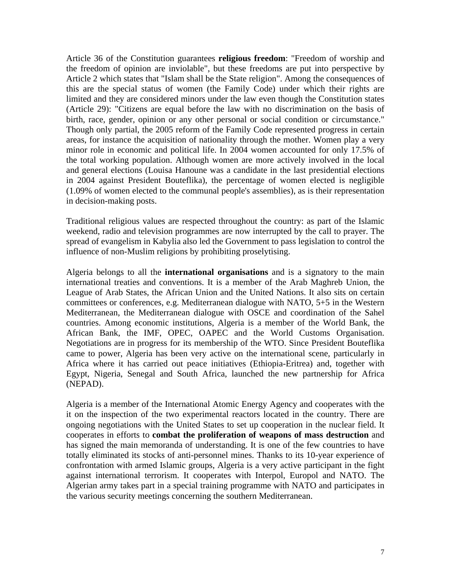Article 36 of the Constitution guarantees **religious freedom**: "Freedom of worship and the freedom of opinion are inviolable", but these freedoms are put into perspective by Article 2 which states that "Islam shall be the State religion". Among the consequences of this are the special status of women (the Family Code) under which their rights are limited and they are considered minors under the law even though the Constitution states (Article 29): "Citizens are equal before the law with no discrimination on the basis of birth, race, gender, opinion or any other personal or social condition or circumstance." Though only partial, the 2005 reform of the Family Code represented progress in certain areas, for instance the acquisition of nationality through the mother. Women play a very minor role in economic and political life. In 2004 women accounted for only 17.5% of the total working population. Although women are more actively involved in the local and general elections (Louisa Hanoune was a candidate in the last presidential elections in 2004 against President Bouteflika), the percentage of women elected is negligible (1.09% of women elected to the communal people's assemblies), as is their representation in decision-making posts.

Traditional religious values are respected throughout the country: as part of the Islamic weekend, radio and television programmes are now interrupted by the call to prayer. The spread of evangelism in Kabylia also led the Government to pass legislation to control the influence of non-Muslim religions by prohibiting proselytising.

Algeria belongs to all the **international organisations** and is a signatory to the main international treaties and conventions. It is a member of the Arab Maghreb Union, the League of Arab States, the African Union and the United Nations. It also sits on certain committees or conferences, e.g. Mediterranean dialogue with NATO, 5+5 in the Western Mediterranean, the Mediterranean dialogue with OSCE and coordination of the Sahel countries. Among economic institutions, Algeria is a member of the World Bank, the African Bank, the IMF, OPEC, OAPEC and the World Customs Organisation. Negotiations are in progress for its membership of the WTO. Since President Bouteflika came to power, Algeria has been very active on the international scene, particularly in Africa where it has carried out peace initiatives (Ethiopia-Eritrea) and, together with Egypt, Nigeria, Senegal and South Africa, launched the new partnership for Africa (NEPAD).

Algeria is a member of the International Atomic Energy Agency and cooperates with the it on the inspection of the two experimental reactors located in the country. There are ongoing negotiations with the United States to set up cooperation in the nuclear field. It cooperates in efforts to **combat the proliferation of weapons of mass destruction** and has signed the main memoranda of understanding. It is one of the few countries to have totally eliminated its stocks of anti-personnel mines. Thanks to its 10-year experience of confrontation with armed Islamic groups, Algeria is a very active participant in the fight against international terrorism. It cooperates with Interpol, Europol and NATO. The Algerian army takes part in a special training programme with NATO and participates in the various security meetings concerning the southern Mediterranean.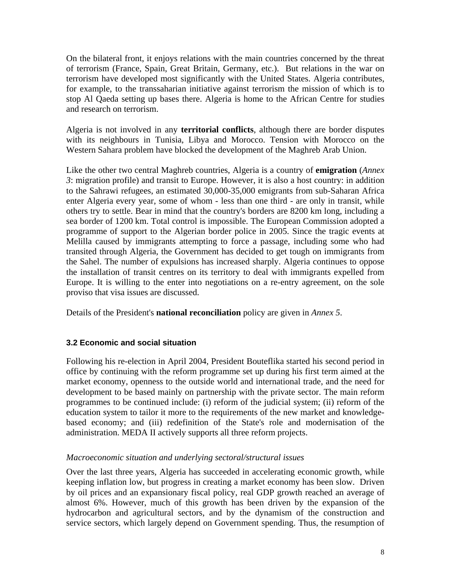On the bilateral front, it enjoys relations with the main countries concerned by the threat of terrorism (France, Spain, Great Britain, Germany, etc.). But relations in the war on terrorism have developed most significantly with the United States. Algeria contributes, for example, to the transsaharian initiative against terrorism the mission of which is to stop Al Qaeda setting up bases there. Algeria is home to the African Centre for studies and research on terrorism.

Algeria is not involved in any **territorial conflicts**, although there are border disputes with its neighbours in Tunisia, Libya and Morocco. Tension with Morocco on the Western Sahara problem have blocked the development of the Maghreb Arab Union.

Like the other two central Maghreb countries, Algeria is a country of **emigration** (*Annex 3*: migration profile) and transit to Europe. However, it is also a host country: in addition to the Sahrawi refugees, an estimated 30,000-35,000 emigrants from sub-Saharan Africa enter Algeria every year, some of whom - less than one third - are only in transit, while others try to settle. Bear in mind that the country's borders are 8200 km long, including a sea border of 1200 km. Total control is impossible. The European Commission adopted a programme of support to the Algerian border police in 2005. Since the tragic events at Melilla caused by immigrants attempting to force a passage, including some who had transited through Algeria, the Government has decided to get tough on immigrants from the Sahel. The number of expulsions has increased sharply. Algeria continues to oppose the installation of transit centres on its territory to deal with immigrants expelled from Europe. It is willing to the enter into negotiations on a re-entry agreement, on the sole proviso that visa issues are discussed.

Details of the President's **national reconciliation** policy are given in *Annex 5*.

# **3.2 Economic and social situation**

Following his re-election in April 2004, President Bouteflika started his second period in office by continuing with the reform programme set up during his first term aimed at the market economy, openness to the outside world and international trade, and the need for development to be based mainly on partnership with the private sector. The main reform programmes to be continued include: (i) reform of the judicial system; (ii) reform of the education system to tailor it more to the requirements of the new market and knowledgebased economy; and (iii) redefinition of the State's role and modernisation of the administration. MEDA II actively supports all three reform projects.

# *Macroeconomic situation and underlying sectoral/structural issues*

Over the last three years, Algeria has succeeded in accelerating economic growth, while keeping inflation low, but progress in creating a market economy has been slow. Driven by oil prices and an expansionary fiscal policy, real GDP growth reached an average of almost 6%. However, much of this growth has been driven by the expansion of the hydrocarbon and agricultural sectors, and by the dynamism of the construction and service sectors, which largely depend on Government spending. Thus, the resumption of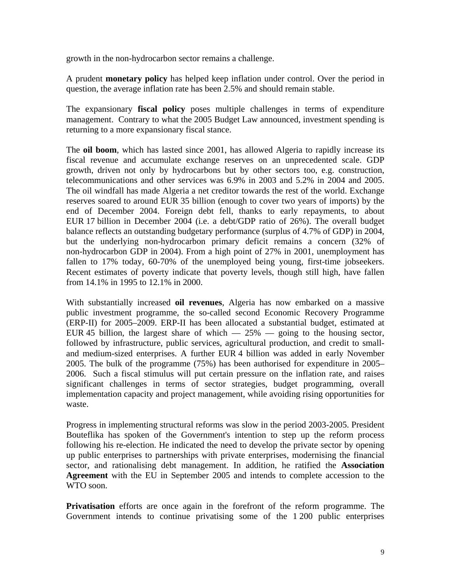growth in the non-hydrocarbon sector remains a challenge.

A prudent **monetary policy** has helped keep inflation under control. Over the period in question, the average inflation rate has been 2.5% and should remain stable.

The expansionary **fiscal policy** poses multiple challenges in terms of expenditure management. Contrary to what the 2005 Budget Law announced, investment spending is returning to a more expansionary fiscal stance.

The **oil boom**, which has lasted since 2001, has allowed Algeria to rapidly increase its fiscal revenue and accumulate exchange reserves on an unprecedented scale. GDP growth, driven not only by hydrocarbons but by other sectors too, e.g. construction, telecommunications and other services was 6.9% in 2003 and 5.2% in 2004 and 2005. The oil windfall has made Algeria a net creditor towards the rest of the world. Exchange reserves soared to around EUR 35 billion (enough to cover two years of imports) by the end of December 2004. Foreign debt fell, thanks to early repayments, to about EUR 17 billion in December 2004 (i.e. a debt/GDP ratio of 26%). The overall budget balance reflects an outstanding budgetary performance (surplus of 4.7% of GDP) in 2004, but the underlying non-hydrocarbon primary deficit remains a concern (32% of non-hydrocarbon GDP in 2004). From a high point of 27% in 2001, unemployment has fallen to 17% today, 60-70% of the unemployed being young, first-time jobseekers. Recent estimates of poverty indicate that poverty levels, though still high, have fallen from 14.1% in 1995 to 12.1% in 2000.

With substantially increased **oil revenues**, Algeria has now embarked on a massive public investment programme, the so-called second Economic Recovery Programme (ERP-II) for 2005–2009. ERP-II has been allocated a substantial budget, estimated at EUR 45 billion, the largest share of which  $-25\%$  — going to the housing sector, followed by infrastructure, public services, agricultural production, and credit to smalland medium-sized enterprises. A further EUR 4 billion was added in early November 2005. The bulk of the programme (75%) has been authorised for expenditure in 2005– 2006. Such a fiscal stimulus will put certain pressure on the inflation rate, and raises significant challenges in terms of sector strategies, budget programming, overall implementation capacity and project management, while avoiding rising opportunities for waste.

Progress in implementing structural reforms was slow in the period 2003-2005. President Bouteflika has spoken of the Government's intention to step up the reform process following his re-election. He indicated the need to develop the private sector by opening up public enterprises to partnerships with private enterprises, modernising the financial sector, and rationalising debt management. In addition, he ratified the **Association Agreement** with the EU in September 2005 and intends to complete accession to the WTO soon.

**Privatisation** efforts are once again in the forefront of the reform programme. The Government intends to continue privatising some of the 1 200 public enterprises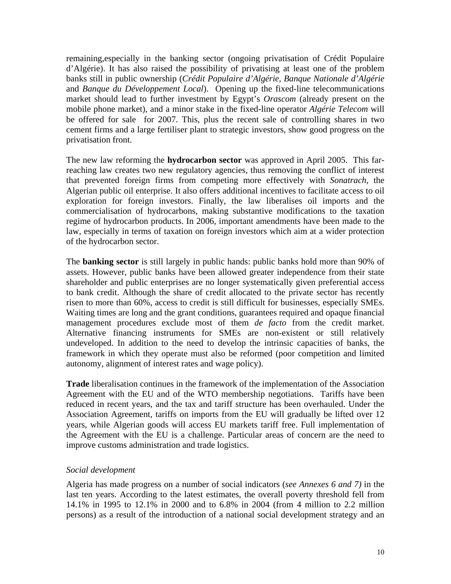remaining,especially in the banking sector (ongoing privatisation of Crédit Populaire d'Algérie). It has also raised the possibility of privatising at least one of the problem banks still in public ownership (*Crédit Populaire d'Algérie, Banque Nationale d'Algérie* and *Banque du Développement Local*). Opening up the fixed-line telecommunications market should lead to further investment by Egypt's *Orascom* (already present on the mobile phone market), and a minor stake in the fixed-line operator *Algérie Telecom* will be offered for sale for 2007. This, plus the recent sale of controlling shares in two cement firms and a large fertiliser plant to strategic investors, show good progress on the privatisation front.

The new law reforming the **hydrocarbon sector** was approved in April 2005. This farreaching law creates two new regulatory agencies, thus removing the conflict of interest that prevented foreign firms from competing more effectively with *Sonatrach*, the Algerian public oil enterprise. It also offers additional incentives to facilitate access to oil exploration for foreign investors. Finally, the law liberalises oil imports and the commercialisation of hydrocarbons, making substantive modifications to the taxation regime of hydrocarbon products. In 2006, important amendments have been made to the law, especially in terms of taxation on foreign investors which aim at a wider protection of the hydrocarbon sector.

The **banking sector** is still largely in public hands: public banks hold more than 90% of assets. However, public banks have been allowed greater independence from their state shareholder and public enterprises are no longer systematically given preferential access to bank credit. Although the share of credit allocated to the private sector has recently risen to more than 60%, access to credit is still difficult for businesses, especially SMEs. Waiting times are long and the grant conditions, guarantees required and opaque financial management procedures exclude most of them *de facto* from the credit market. Alternative financing instruments for SMEs are non-existent or still relatively undeveloped. In addition to the need to develop the intrinsic capacities of banks, the framework in which they operate must also be reformed (poor competition and limited autonomy, alignment of interest rates and wage policy).

**Trade** liberalisation continues in the framework of the implementation of the Association Agreement with the EU and of the WTO membership negotiations. Tariffs have been reduced in recent years, and the tax and tariff structure has been overhauled. Under the Association Agreement, tariffs on imports from the EU will gradually be lifted over 12 years, while Algerian goods will access EU markets tariff free. Full implementation of the Agreement with the EU is a challenge. Particular areas of concern are the need to improve customs administration and trade logistics.

#### *Social development*

Algeria has made progress on a number of social indicators (*see Annexes 6 and 7)* in the last ten years. According to the latest estimates, the overall poverty threshold fell from 14.1% in 1995 to 12.1% in 2000 and to 6.8% in 2004 (from 4 million to 2.2 million persons) as a result of the introduction of a national social development strategy and an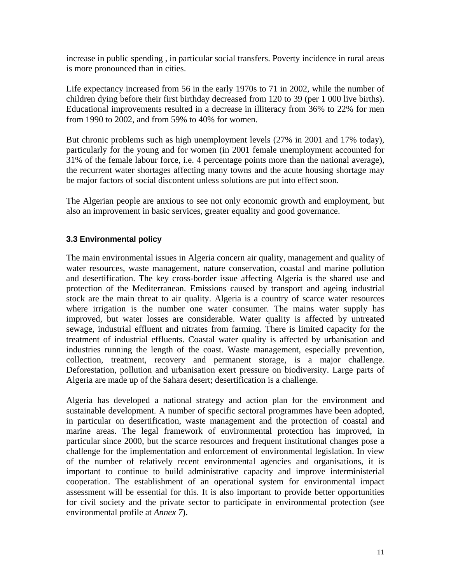increase in public spending , in particular social transfers. Poverty incidence in rural areas is more pronounced than in cities.

Life expectancy increased from 56 in the early 1970s to 71 in 2002, while the number of children dying before their first birthday decreased from 120 to 39 (per 1 000 live births). Educational improvements resulted in a decrease in illiteracy from 36% to 22% for men from 1990 to 2002, and from 59% to 40% for women.

But chronic problems such as high unemployment levels (27% in 2001 and 17% today), particularly for the young and for women (in 2001 female unemployment accounted for 31% of the female labour force, i.e. 4 percentage points more than the national average), the recurrent water shortages affecting many towns and the acute housing shortage may be major factors of social discontent unless solutions are put into effect soon.

The Algerian people are anxious to see not only economic growth and employment, but also an improvement in basic services, greater equality and good governance.

# **3.3 Environmental policy**

The main environmental issues in Algeria concern air quality, management and quality of water resources, waste management, nature conservation, coastal and marine pollution and desertification. The key cross-border issue affecting Algeria is the shared use and protection of the Mediterranean. Emissions caused by transport and ageing industrial stock are the main threat to air quality. Algeria is a country of scarce water resources where irrigation is the number one water consumer. The mains water supply has improved, but water losses are considerable. Water quality is affected by untreated sewage, industrial effluent and nitrates from farming. There is limited capacity for the treatment of industrial effluents. Coastal water quality is affected by urbanisation and industries running the length of the coast. Waste management, especially prevention, collection, treatment, recovery and permanent storage, is a major challenge. Deforestation, pollution and urbanisation exert pressure on biodiversity. Large parts of Algeria are made up of the Sahara desert; desertification is a challenge.

Algeria has developed a national strategy and action plan for the environment and sustainable development. A number of specific sectoral programmes have been adopted, in particular on desertification, waste management and the protection of coastal and marine areas. The legal framework of environmental protection has improved, in particular since 2000, but the scarce resources and frequent institutional changes pose a challenge for the implementation and enforcement of environmental legislation. In view of the number of relatively recent environmental agencies and organisations, it is important to continue to build administrative capacity and improve interministerial cooperation. The establishment of an operational system for environmental impact assessment will be essential for this. It is also important to provide better opportunities for civil society and the private sector to participate in environmental protection (see environmental profile at *Annex 7*).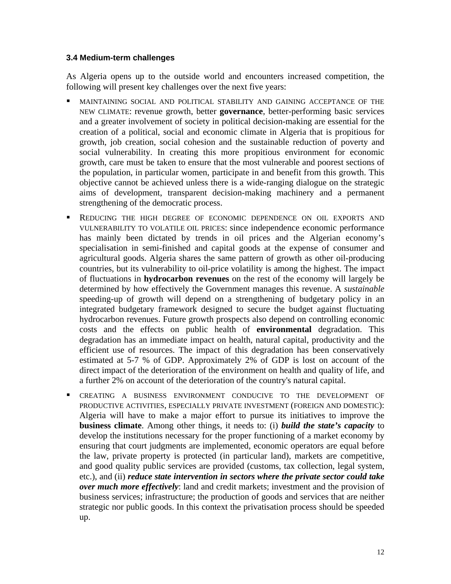#### **3.4 Medium-term challenges**

As Algeria opens up to the outside world and encounters increased competition, the following will present key challenges over the next five years:

- **MAINTAINING SOCIAL AND POLITICAL STABILITY AND GAINING ACCEPTANCE OF THE** NEW CLIMATE: revenue growth, better **governance**, better-performing basic services and a greater involvement of society in political decision-making are essential for the creation of a political, social and economic climate in Algeria that is propitious for growth, job creation, social cohesion and the sustainable reduction of poverty and social vulnerability. In creating this more propitious environment for economic growth, care must be taken to ensure that the most vulnerable and poorest sections of the population, in particular women, participate in and benefit from this growth. This objective cannot be achieved unless there is a wide-ranging dialogue on the strategic aims of development, transparent decision-making machinery and a permanent strengthening of the democratic process.
- REDUCING THE HIGH DEGREE OF ECONOMIC DEPENDENCE ON OIL EXPORTS AND VULNERABILITY TO VOLATILE OIL PRICES: since independence economic performance has mainly been dictated by trends in oil prices and the Algerian economy's specialisation in semi-finished and capital goods at the expense of consumer and agricultural goods. Algeria shares the same pattern of growth as other oil-producing countries, but its vulnerability to oil-price volatility is among the highest. The impact of fluctuations in **hydrocarbon revenues** on the rest of the economy will largely be determined by how effectively the Government manages this revenue. A *sustainable* speeding-up of growth will depend on a strengthening of budgetary policy in an integrated budgetary framework designed to secure the budget against fluctuating hydrocarbon revenues. Future growth prospects also depend on controlling economic costs and the effects on public health of **environmental** degradation. This degradation has an immediate impact on health, natural capital, productivity and the efficient use of resources. The impact of this degradation has been conservatively estimated at 5-7 % of GDP. Approximately 2% of GDP is lost on account of the direct impact of the deterioration of the environment on health and quality of life, and a further 2% on account of the deterioration of the country's natural capital.
- CREATING A BUSINESS ENVIRONMENT CONDUCIVE TO THE DEVELOPMENT OF PRODUCTIVE ACTIVITIES, ESPECIALLY PRIVATE INVESTMENT (FOREIGN AND DOMESTIC): Algeria will have to make a major effort to pursue its initiatives to improve the **business climate**. Among other things, it needs to: (i) *build the state's capacity* to develop the institutions necessary for the proper functioning of a market economy by ensuring that court judgments are implemented, economic operators are equal before the law, private property is protected (in particular land), markets are competitive, and good quality public services are provided (customs, tax collection, legal system, etc.), and (ii) *reduce state intervention in sectors where the private sector could take over much more effectively*: land and credit markets; investment and the provision of business services; infrastructure; the production of goods and services that are neither strategic nor public goods. In this context the privatisation process should be speeded up.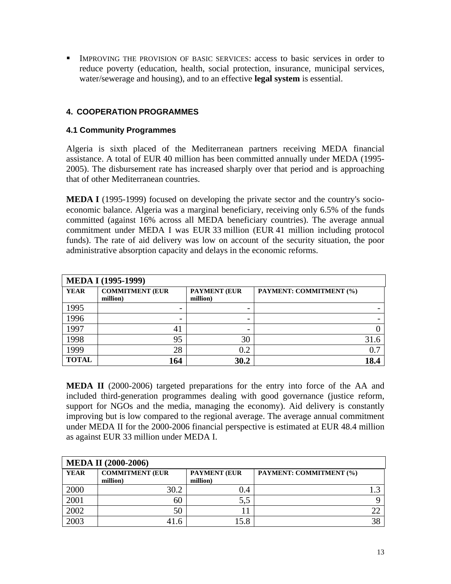IMPROVING THE PROVISION OF BASIC SERVICES: access to basic services in order to reduce poverty (education, health, social protection, insurance, municipal services, water/sewerage and housing), and to an effective **legal system** is essential.

# **4. COOPERATION PROGRAMMES**

#### **4.1 Community Programmes**

Algeria is sixth placed of the Mediterranean partners receiving MEDA financial assistance. A total of EUR 40 million has been committed annually under MEDA (1995- 2005). The disbursement rate has increased sharply over that period and is approaching that of other Mediterranean countries.

**MEDA I** (1995-1999) focused on developing the private sector and the country's socioeconomic balance. Algeria was a marginal beneficiary, receiving only 6.5% of the funds committed (against 16% across all MEDA beneficiary countries). The average annual commitment under MEDA I was EUR 33 million (EUR 41 million including protocol funds). The rate of aid delivery was low on account of the security situation, the poor administrative absorption capacity and delays in the economic reforms.

| <b>MEDA I (1995-1999)</b> |                                    |                                 |                         |  |  |  |  |  |  |
|---------------------------|------------------------------------|---------------------------------|-------------------------|--|--|--|--|--|--|
| <b>YEAR</b>               | <b>COMMITMENT (EUR</b><br>million) | <b>PAYMENT (EUR</b><br>million) | PAYMENT: COMMITMENT (%) |  |  |  |  |  |  |
| 1995                      |                                    |                                 |                         |  |  |  |  |  |  |
| 1996                      |                                    |                                 |                         |  |  |  |  |  |  |
| 1997                      | 4 <sub>1</sub>                     |                                 |                         |  |  |  |  |  |  |
| 1998                      | 95                                 | 30                              |                         |  |  |  |  |  |  |
| 1999                      | 28                                 | $0.2\,$                         | 0.7                     |  |  |  |  |  |  |
| <b>TOTAL</b>              | 164                                | 30.2                            | 18.4                    |  |  |  |  |  |  |

**MEDA II** (2000-2006) targeted preparations for the entry into force of the AA and included third-generation programmes dealing with good governance (justice reform, support for NGOs and the media, managing the economy). Aid delivery is constantly improving but is low compared to the regional average. The average annual commitment under MEDA II for the 2000-2006 financial perspective is estimated at EUR 48.4 million as against EUR 33 million under MEDA I.

| <b>MEDA II (2000-2006)</b> |                                    |                                 |                         |  |  |  |  |  |  |
|----------------------------|------------------------------------|---------------------------------|-------------------------|--|--|--|--|--|--|
| <b>YEAR</b>                | <b>COMMITMENT (EUR</b><br>million) | <b>PAYMENT (EUR</b><br>million) | PAYMENT: COMMITMENT (%) |  |  |  |  |  |  |
| 2000                       | 30.2                               | 0.4                             |                         |  |  |  |  |  |  |
| 2001                       | 60                                 | 5,5                             |                         |  |  |  |  |  |  |
| 2002                       | 50                                 |                                 |                         |  |  |  |  |  |  |
| 2003                       | 41.6                               | 5.8                             | 38                      |  |  |  |  |  |  |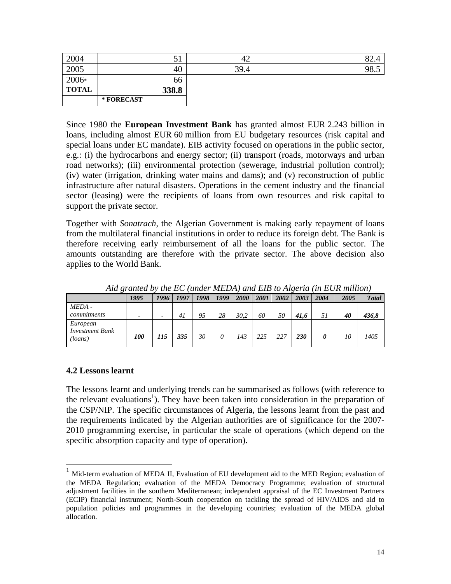| 2004         | ◡▴         | $\Lambda$<br>┱∠ |     |
|--------------|------------|-----------------|-----|
| 2005         | 40         | 39.4            | ن.ە |
| 2006*        | 66         |                 |     |
| <b>TOTAL</b> | 338.8      |                 |     |
|              | * FORECAST |                 |     |

Since 1980 the **European Investment Bank** has granted almost EUR 2.243 billion in loans, including almost EUR 60 million from EU budgetary resources (risk capital and special loans under EC mandate). EIB activity focused on operations in the public sector, e.g.: (i) the hydrocarbons and energy sector; (ii) transport (roads, motorways and urban road networks); (iii) environmental protection (sewerage, industrial pollution control); (iv) water (irrigation, drinking water mains and dams); and (v) reconstruction of public infrastructure after natural disasters. Operations in the cement industry and the financial sector (leasing) were the recipients of loans from own resources and risk capital to support the private sector.

Together with *Sonatrach*, the Algerian Government is making early repayment of loans from the multilateral financial institutions in order to reduce its foreign debt. The Bank is therefore receiving early reimbursement of all the loans for the public sector. The amounts outstanding are therefore with the private sector. The above decision also applies to the World Bank.

|                                               | 1995              | 1996                     | 1997 | 1998 | 1999 | <i>2000</i> | 2001 | 2002 | 2003 | 2004 | 2005 | <b>Total</b> |
|-----------------------------------------------|-------------------|--------------------------|------|------|------|-------------|------|------|------|------|------|--------------|
| MEDA -                                        |                   |                          |      |      |      |             |      |      |      |      |      |              |
| commitments                                   |                   | $\overline{\phantom{a}}$ | 41   | 95   | 28   | 30.2        | 60   | 50   | 41.6 | 51   | 40   | 436,8        |
| European<br><b>Investment Bank</b><br>(loans) | <i><b>100</b></i> | 115                      | 335  | 30   | 0    | 143         | 225  | 227  | 230  |      | 10   | 1405         |

*Aid granted by the EC (under MEDA) and EIB to Algeria (in EUR million)* 

#### **4.2 Lessons learnt**

 $\overline{a}$ 

The lessons learnt and underlying trends can be summarised as follows (with reference to the relevant evaluations<sup>1</sup>). They have been taken into consideration in the preparation of the CSP/NIP. The specific circumstances of Algeria, the lessons learnt from the past and the requirements indicated by the Algerian authorities are of significance for the 2007- 2010 programming exercise, in particular the scale of operations (which depend on the specific absorption capacity and type of operation).

<sup>&</sup>lt;sup>1</sup> Mid-term evaluation of MEDA II, Evaluation of EU development aid to the MED Region; evaluation of the MEDA Regulation; evaluation of the MEDA Democracy Programme; evaluation of structural adjustment facilities in the southern Mediterranean; independent appraisal of the EC Investment Partners (ECIP) financial instrument; North-South cooperation on tackling the spread of HIV/AIDS and aid to population policies and programmes in the developing countries; evaluation of the MEDA global allocation.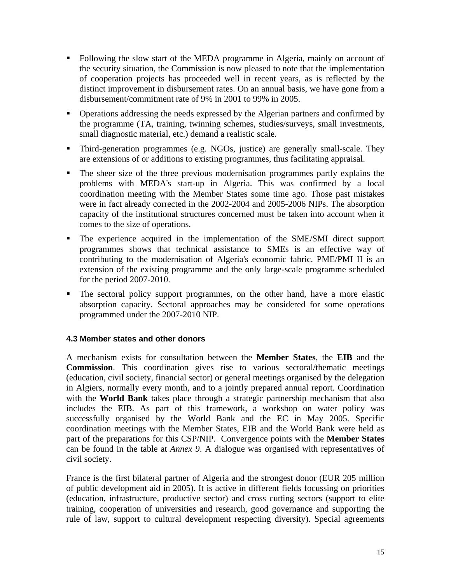- Following the slow start of the MEDA programme in Algeria, mainly on account of the security situation, the Commission is now pleased to note that the implementation of cooperation projects has proceeded well in recent years, as is reflected by the distinct improvement in disbursement rates. On an annual basis, we have gone from a disbursement/commitment rate of 9% in 2001 to 99% in 2005.
- Operations addressing the needs expressed by the Algerian partners and confirmed by the programme (TA, training, twinning schemes, studies/surveys, small investments, small diagnostic material, etc.) demand a realistic scale.
- Third-generation programmes (e.g. NGOs, justice) are generally small-scale. They are extensions of or additions to existing programmes, thus facilitating appraisal.
- The sheer size of the three previous modernisation programmes partly explains the problems with MEDA's start-up in Algeria. This was confirmed by a local coordination meeting with the Member States some time ago. Those past mistakes were in fact already corrected in the 2002-2004 and 2005-2006 NIPs. The absorption capacity of the institutional structures concerned must be taken into account when it comes to the size of operations.
- The experience acquired in the implementation of the SME/SMI direct support programmes shows that technical assistance to SMEs is an effective way of contributing to the modernisation of Algeria's economic fabric. PME/PMI II is an extension of the existing programme and the only large-scale programme scheduled for the period 2007-2010.
- The sectoral policy support programmes, on the other hand, have a more elastic absorption capacity. Sectoral approaches may be considered for some operations programmed under the 2007-2010 NIP.

#### **4.3 Member states and other donors**

A mechanism exists for consultation between the **Member States**, the **EIB** and the **Commission**. This coordination gives rise to various sectoral/thematic meetings (education, civil society, financial sector) or general meetings organised by the delegation in Algiers, normally every month, and to a jointly prepared annual report. Coordination with the **World Bank** takes place through a strategic partnership mechanism that also includes the EIB. As part of this framework, a workshop on water policy was successfully organised by the World Bank and the EC in May 2005. Specific coordination meetings with the Member States, EIB and the World Bank were held as part of the preparations for this CSP/NIP.Convergence points with the **Member States** can be found in the table at *Annex 9*. A dialogue was organised with representatives of civil society.

France is the first bilateral partner of Algeria and the strongest donor (EUR 205 million of public development aid in 2005). It is active in different fields focussing on priorities (education, infrastructure, productive sector) and cross cutting sectors (support to elite training, cooperation of universities and research, good governance and supporting the rule of law, support to cultural development respecting diversity). Special agreements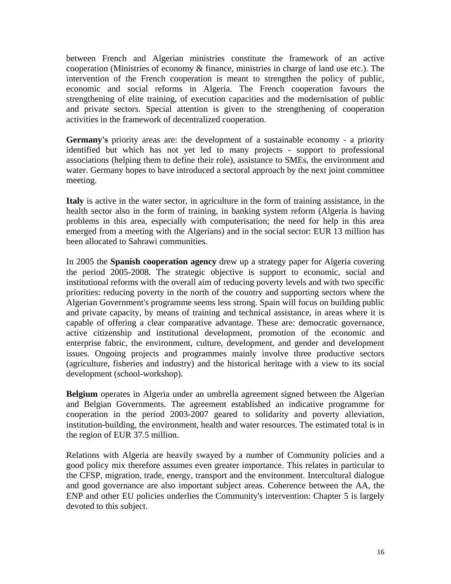between French and Algerian ministries constitute the framework of an active cooperation (Ministries of economy & finance, ministries in charge of land use etc.). The intervention of the French cooperation is meant to strengthen the policy of public, economic and social reforms in Algeria. The French cooperation favours the strengthening of elite training, of execution capacities and the modernisation of public and private sectors. Special attention is given to the strengthening of cooperation activities in the framework of decentralized cooperation.

**Germany's** priority areas are: the development of a sustainable economy - a priority identified but which has not yet led to many projects - support to professional associations (helping them to define their role), assistance to SMEs, the environment and water. Germany hopes to have introduced a sectoral approach by the next joint committee meeting.

**Italy** is active in the water sector, in agriculture in the form of training assistance, in the health sector also in the form of training, in banking system reform (Algeria is having problems in this area, especially with computerisation; the need for help in this area emerged from a meeting with the Algerians) and in the social sector: EUR 13 million has been allocated to Sahrawi communities.

In 2005 the **Spanish cooperation agency** drew up a strategy paper for Algeria covering the period 2005-2008. The strategic objective is support to economic, social and institutional reforms with the overall aim of reducing poverty levels and with two specific priorities: reducing poverty in the north of the country and supporting sectors where the Algerian Government's programme seems less strong. Spain will focus on building public and private capacity, by means of training and technical assistance, in areas where it is capable of offering a clear comparative advantage. These are: democratic governance, active citizenship and institutional development, promotion of the economic and enterprise fabric, the environment, culture, development, and gender and development issues. Ongoing projects and programmes mainly involve three productive sectors (agriculture, fisheries and industry) and the historical heritage with a view to its social development (school-workshop).

**Belgium** operates in Algeria under an umbrella agreement signed between the Algerian and Belgian Governments. The agreement established an indicative programme for cooperation in the period 2003-2007 geared to solidarity and poverty alleviation, institution-building, the environment, health and water resources. The estimated total is in the region of EUR 37.5 million.

Relations with Algeria are heavily swayed by a number of Community policies and a good policy mix therefore assumes even greater importance. This relates in particular to the CFSP, migration, trade, energy, transport and the environment. Intercultural dialogue and good governance are also important subject areas. Coherence between the AA, the ENP and other EU policies underlies the Community's intervention: Chapter 5 is largely devoted to this subject.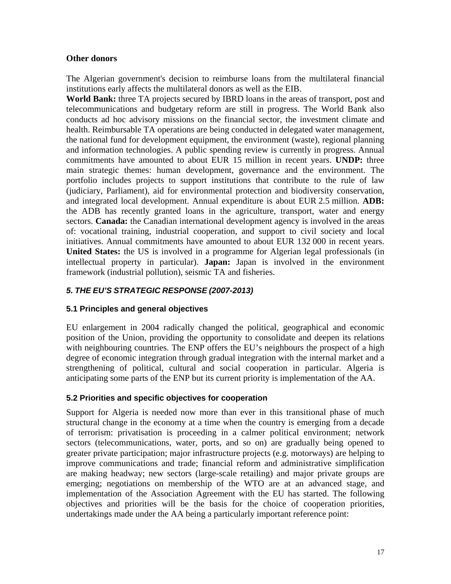#### **Other donors**

The Algerian government's decision to reimburse loans from the multilateral financial institutions early affects the multilateral donors as well as the EIB.

**World Bank:** three TA projects secured by IBRD loans in the areas of transport, post and telecommunications and budgetary reform are still in progress. The World Bank also conducts ad hoc advisory missions on the financial sector, the investment climate and health. Reimbursable TA operations are being conducted in delegated water management, the national fund for development equipment, the environment (waste), regional planning and information technologies. A public spending review is currently in progress. Annual commitments have amounted to about EUR 15 million in recent years. **UNDP:** three main strategic themes: human development, governance and the environment. The portfolio includes projects to support institutions that contribute to the rule of law (judiciary, Parliament), aid for environmental protection and biodiversity conservation, and integrated local development. Annual expenditure is about EUR 2.5 million. **ADB:**  the ADB has recently granted loans in the agriculture, transport, water and energy sectors. **Canada:** the Canadian international development agency is involved in the areas of: vocational training, industrial cooperation, and support to civil society and local initiatives. Annual commitments have amounted to about EUR 132 000 in recent years. **United States:** the US is involved in a programme for Algerian legal professionals (in intellectual property in particular). **Japan:** Japan is involved in the environment framework (industrial pollution), seismic TA and fisheries.

# *5. THE EU'S STRATEGIC RESPONSE (2007-2013)*

# **5.1 Principles and general objectives**

EU enlargement in 2004 radically changed the political, geographical and economic position of the Union, providing the opportunity to consolidate and deepen its relations with neighbouring countries. The ENP offers the EU's neighbours the prospect of a high degree of economic integration through gradual integration with the internal market and a strengthening of political, cultural and social cooperation in particular. Algeria is anticipating some parts of the ENP but its current priority is implementation of the AA.

# **5.2 Priorities and specific objectives for cooperation**

Support for Algeria is needed now more than ever in this transitional phase of much structural change in the economy at a time when the country is emerging from a decade of terrorism: privatisation is proceeding in a calmer political environment; network sectors (telecommunications, water, ports, and so on) are gradually being opened to greater private participation; major infrastructure projects (e.g. motorways) are helping to improve communications and trade; financial reform and administrative simplification are making headway; new sectors (large-scale retailing) and major private groups are emerging; negotiations on membership of the WTO are at an advanced stage, and implementation of the Association Agreement with the EU has started. The following objectives and priorities will be the basis for the choice of cooperation priorities, undertakings made under the AA being a particularly important reference point: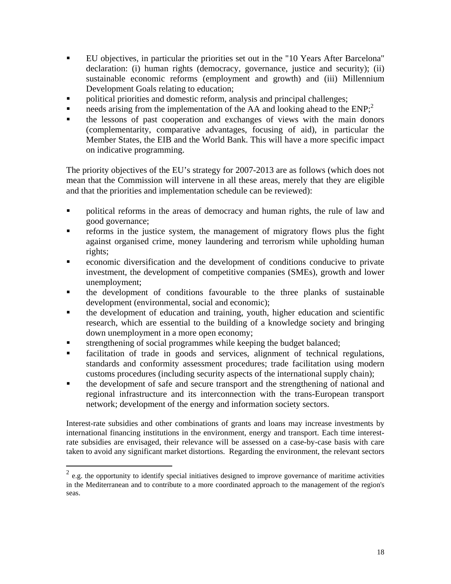- EU objectives, in particular the priorities set out in the "10 Years After Barcelona" declaration: (i) human rights (democracy, governance, justice and security); (ii) sustainable economic reforms (employment and growth) and (iii) Millennium Development Goals relating to education;
- political priorities and domestic reform, analysis and principal challenges;
- needs arising from the implementation of the AA and looking ahead to the  $ENP<sub>1</sub><sup>2</sup>$
- the lessons of past cooperation and exchanges of views with the main donors (complementarity, comparative advantages, focusing of aid), in particular the Member States, the EIB and the World Bank. This will have a more specific impact on indicative programming.

The priority objectives of the EU's strategy for 2007-2013 are as follows (which does not mean that the Commission will intervene in all these areas, merely that they are eligible and that the priorities and implementation schedule can be reviewed):

- **Provided** reforms in the areas of democracy and human rights, the rule of law and good governance;
- reforms in the justice system, the management of migratory flows plus the fight against organised crime, money laundering and terrorism while upholding human rights;
- economic diversification and the development of conditions conducive to private investment, the development of competitive companies (SMEs), growth and lower unemployment;
- the development of conditions favourable to the three planks of sustainable development (environmental, social and economic);
- the development of education and training, youth, higher education and scientific research, which are essential to the building of a knowledge society and bringing down unemployment in a more open economy;
- strengthening of social programmes while keeping the budget balanced;

 $\overline{a}$ 

- facilitation of trade in goods and services, alignment of technical regulations, standards and conformity assessment procedures; trade facilitation using modern customs procedures (including security aspects of the international supply chain);
- the development of safe and secure transport and the strengthening of national and regional infrastructure and its interconnection with the trans-European transport network; development of the energy and information society sectors.

Interest-rate subsidies and other combinations of grants and loans may increase investments by international financing institutions in the environment, energy and transport. Each time interestrate subsidies are envisaged, their relevance will be assessed on a case-by-case basis with care taken to avoid any significant market distortions. Regarding the environment, the relevant sectors

 $^{2}$  e.g. the opportunity to identify special initiatives designed to improve governance of maritime activities in the Mediterranean and to contribute to a more coordinated approach to the management of the region's seas.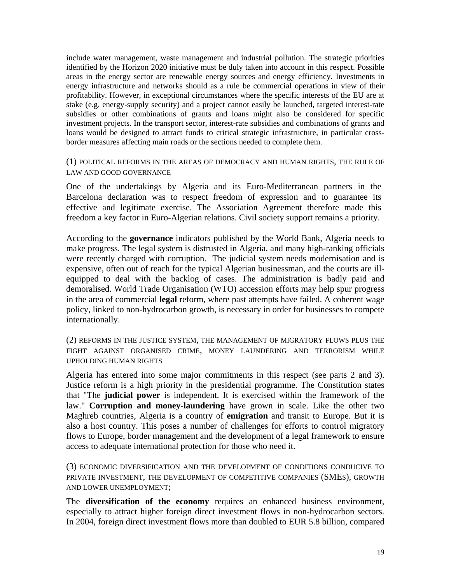include water management, waste management and industrial pollution. The strategic priorities identified by the Horizon 2020 initiative must be duly taken into account in this respect. Possible areas in the energy sector are renewable energy sources and energy efficiency. Investments in energy infrastructure and networks should as a rule be commercial operations in view of their profitability. However, in exceptional circumstances where the specific interests of the EU are at stake (e.g. energy-supply security) and a project cannot easily be launched, targeted interest-rate subsidies or other combinations of grants and loans might also be considered for specific investment projects. In the transport sector, interest-rate subsidies and combinations of grants and loans would be designed to attract funds to critical strategic infrastructure, in particular crossborder measures affecting main roads or the sections needed to complete them.

(1) POLITICAL REFORMS IN THE AREAS OF DEMOCRACY AND HUMAN RIGHTS, THE RULE OF LAW AND GOOD GOVERNANCE

One of the undertakings by Algeria and its Euro-Mediterranean partners in the Barcelona declaration was to respect freedom of expression and to guarantee its effective and legitimate exercise. The Association Agreement therefore made this freedom a key factor in Euro-Algerian relations. Civil society support remains a priority.

According to the **governance** indicators published by the World Bank, Algeria needs to make progress. The legal system is distrusted in Algeria, and many high-ranking officials were recently charged with corruption. The judicial system needs modernisation and is expensive, often out of reach for the typical Algerian businessman, and the courts are illequipped to deal with the backlog of cases. The administration is badly paid and demoralised. World Trade Organisation (WTO) accession efforts may help spur progress in the area of commercial **legal** reform, where past attempts have failed. A coherent wage policy, linked to non-hydrocarbon growth, is necessary in order for businesses to compete internationally.

(2) REFORMS IN THE JUSTICE SYSTEM, THE MANAGEMENT OF MIGRATORY FLOWS PLUS THE FIGHT AGAINST ORGANISED CRIME, MONEY LAUNDERING AND TERRORISM WHILE UPHOLDING HUMAN RIGHTS

Algeria has entered into some major commitments in this respect (see parts 2 and 3). Justice reform is a high priority in the presidential programme. The Constitution states that "The **judicial power** is independent. It is exercised within the framework of the law." **Corruption and money-laundering** have grown in scale. Like the other two Maghreb countries, Algeria is a country of **emigration** and transit to Europe. But it is also a host country. This poses a number of challenges for efforts to control migratory flows to Europe, border management and the development of a legal framework to ensure access to adequate international protection for those who need it.

(3) ECONOMIC DIVERSIFICATION AND THE DEVELOPMENT OF CONDITIONS CONDUCIVE TO PRIVATE INVESTMENT, THE DEVELOPMENT OF COMPETITIVE COMPANIES (SMES), GROWTH AND LOWER UNEMPLOYMENT;

The **diversification of the economy** requires an enhanced business environment, especially to attract higher foreign direct investment flows in non-hydrocarbon sectors. In 2004, foreign direct investment flows more than doubled to EUR 5.8 billion, compared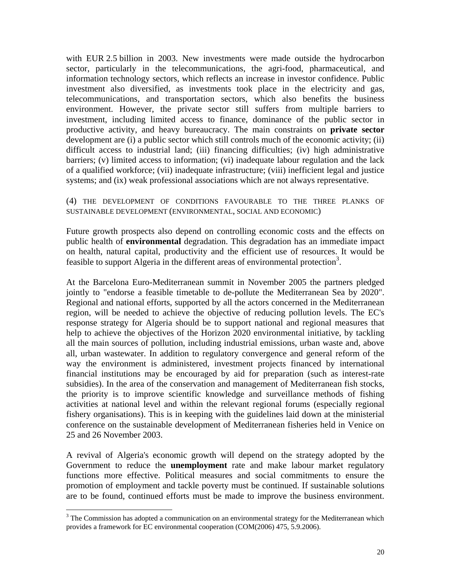with EUR 2.5 billion in 2003. New investments were made outside the hydrocarbon sector, particularly in the telecommunications, the agri-food, pharmaceutical, and information technology sectors, which reflects an increase in investor confidence. Public investment also diversified, as investments took place in the electricity and gas, telecommunications, and transportation sectors, which also benefits the business environment. However, the private sector still suffers from multiple barriers to investment, including limited access to finance, dominance of the public sector in productive activity, and heavy bureaucracy. The main constraints on **private sector** development are (i) a public sector which still controls much of the economic activity; (ii) difficult access to industrial land; (iii) financing difficulties; (iv) high administrative barriers; (v) limited access to information; (vi) inadequate labour regulation and the lack of a qualified workforce; (vii) inadequate infrastructure; (viii) inefficient legal and justice systems; and (ix) weak professional associations which are not always representative.

#### (4) THE DEVELOPMENT OF CONDITIONS FAVOURABLE TO THE THREE PLANKS OF SUSTAINABLE DEVELOPMENT (ENVIRONMENTAL, SOCIAL AND ECONOMIC)

Future growth prospects also depend on controlling economic costs and the effects on public health of **environmental** degradation. This degradation has an immediate impact on health, natural capital, productivity and the efficient use of resources. It would be feasible to support Algeria in the different areas of environmental protection<sup>3</sup>.

At the Barcelona Euro-Mediterranean summit in November 2005 the partners pledged jointly to "endorse a feasible timetable to de-pollute the Mediterranean Sea by 2020". Regional and national efforts, supported by all the actors concerned in the Mediterranean region, will be needed to achieve the objective of reducing pollution levels. The EC's response strategy for Algeria should be to support national and regional measures that help to achieve the objectives of the Horizon 2020 environmental initiative, by tackling all the main sources of pollution, including industrial emissions, urban waste and, above all, urban wastewater. In addition to regulatory convergence and general reform of the way the environment is administered, investment projects financed by international financial institutions may be encouraged by aid for preparation (such as interest-rate subsidies). In the area of the conservation and management of Mediterranean fish stocks, the priority is to improve scientific knowledge and surveillance methods of fishing activities at national level and within the relevant regional forums (especially regional fishery organisations). This is in keeping with the guidelines laid down at the ministerial conference on the sustainable development of Mediterranean fisheries held in Venice on 25 and 26 November 2003.

A revival of Algeria's economic growth will depend on the strategy adopted by the Government to reduce the **unemployment** rate and make labour market regulatory functions more effective. Political measures and social commitments to ensure the promotion of employment and tackle poverty must be continued. If sustainable solutions are to be found, continued efforts must be made to improve the business environment.

 $\overline{a}$ 

 $3$  The Commission has adopted a communication on an environmental strategy for the Mediterranean which provides a framework for EC environmental cooperation (COM(2006) 475, 5.9.2006).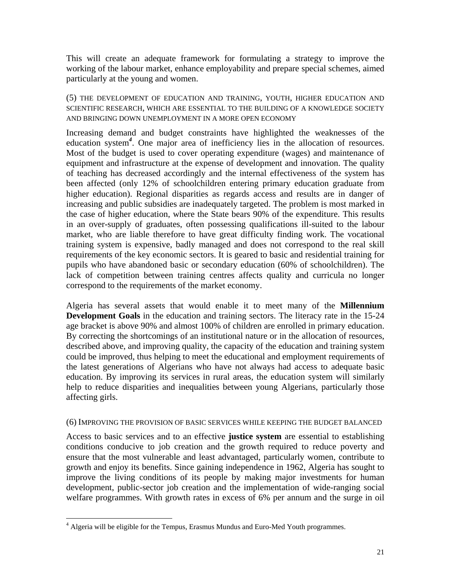This will create an adequate framework for formulating a strategy to improve the working of the labour market, enhance employability and prepare special schemes, aimed particularly at the young and women.

(5) THE DEVELOPMENT OF EDUCATION AND TRAINING, YOUTH, HIGHER EDUCATION AND SCIENTIFIC RESEARCH, WHICH ARE ESSENTIAL TO THE BUILDING OF A KNOWLEDGE SOCIETY AND BRINGING DOWN UNEMPLOYMENT IN A MORE OPEN ECONOMY

Increasing demand and budget constraints have highlighted the weaknesses of the education system<sup>4</sup>. One major area of inefficiency lies in the allocation of resources. Most of the budget is used to cover operating expenditure (wages) and maintenance of equipment and infrastructure at the expense of development and innovation. The quality of teaching has decreased accordingly and the internal effectiveness of the system has been affected (only 12% of schoolchildren entering primary education graduate from higher education). Regional disparities as regards access and results are in danger of increasing and public subsidies are inadequately targeted. The problem is most marked in the case of higher education, where the State bears 90% of the expenditure. This results in an over-supply of graduates, often possessing qualifications ill-suited to the labour market, who are liable therefore to have great difficulty finding work. The vocational training system is expensive, badly managed and does not correspond to the real skill requirements of the key economic sectors. It is geared to basic and residential training for pupils who have abandoned basic or secondary education (60% of schoolchildren). The lack of competition between training centres affects quality and curricula no longer correspond to the requirements of the market economy.

Algeria has several assets that would enable it to meet many of the **Millennium Development Goals** in the education and training sectors. The literacy rate in the 15-24 age bracket is above 90% and almost 100% of children are enrolled in primary education. By correcting the shortcomings of an institutional nature or in the allocation of resources, described above, and improving quality, the capacity of the education and training system could be improved, thus helping to meet the educational and employment requirements of the latest generations of Algerians who have not always had access to adequate basic education. By improving its services in rural areas, the education system will similarly help to reduce disparities and inequalities between young Algerians, particularly those affecting girls.

#### (6) IMPROVING THE PROVISION OF BASIC SERVICES WHILE KEEPING THE BUDGET BALANCED

Access to basic services and to an effective **justice system** are essential to establishing conditions conducive to job creation and the growth required to reduce poverty and ensure that the most vulnerable and least advantaged, particularly women, contribute to growth and enjoy its benefits. Since gaining independence in 1962, Algeria has sought to improve the living conditions of its people by making major investments for human development, public-sector job creation and the implementation of wide-ranging social welfare programmes. With growth rates in excess of 6% per annum and the surge in oil

<u>.</u>

<sup>&</sup>lt;sup>4</sup> Algeria will be eligible for the Tempus, Erasmus Mundus and Euro-Med Youth programmes.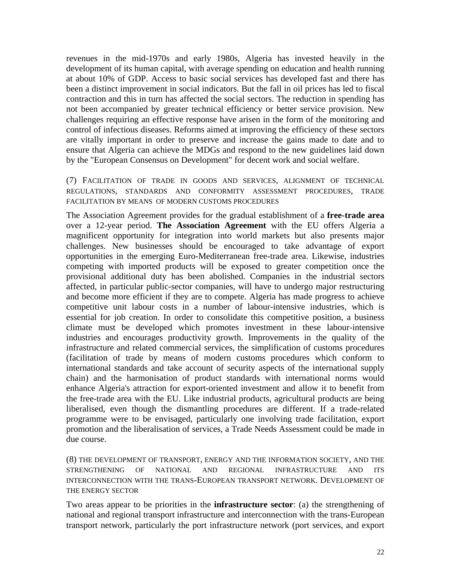revenues in the mid-1970s and early 1980s, Algeria has invested heavily in the development of its human capital, with average spending on education and health running at about 10% of GDP. Access to basic social services has developed fast and there has been a distinct improvement in social indicators. But the fall in oil prices has led to fiscal contraction and this in turn has affected the social sectors. The reduction in spending has not been accompanied by greater technical efficiency or better service provision. New challenges requiring an effective response have arisen in the form of the monitoring and control of infectious diseases. Reforms aimed at improving the efficiency of these sectors are vitally important in order to preserve and increase the gains made to date and to ensure that Algeria can achieve the MDGs and respond to the new guidelines laid down by the "European Consensus on Development" for decent work and social welfare.

(7) FACILITATION OF TRADE IN GOODS AND SERVICES, ALIGNMENT OF TECHNICAL REGULATIONS, STANDARDS AND CONFORMITY ASSESSMENT PROCEDURES, TRADE FACILITATION BY MEANS OF MODERN CUSTOMS PROCEDURES

The Association Agreement provides for the gradual establishment of a **free-trade area** over a 12-year period. **The Association Agreement** with the EU offers Algeria a magnificent opportunity for integration into world markets but also presents major challenges. New businesses should be encouraged to take advantage of export opportunities in the emerging Euro-Mediterranean free-trade area. Likewise, industries competing with imported products will be exposed to greater competition once the provisional additional duty has been abolished. Companies in the industrial sectors affected, in particular public-sector companies, will have to undergo major restructuring and become more efficient if they are to compete. Algeria has made progress to achieve competitive unit labour costs in a number of labour-intensive industries, which is essential for job creation. In order to consolidate this competitive position, a business climate must be developed which promotes investment in these labour-intensive industries and encourages productivity growth. Improvements in the quality of the infrastructure and related commercial services, the simplification of customs procedures (facilitation of trade by means of modern customs procedures which conform to international standards and take account of security aspects of the international supply chain) and the harmonisation of product standards with international norms would enhance Algeria's attraction for export-oriented investment and allow it to benefit from the free-trade area with the EU. Like industrial products, agricultural products are being liberalised, even though the dismantling procedures are different. If a trade-related programme were to be envisaged, particularly one involving trade facilitation, export promotion and the liberalisation of services, a Trade Needs Assessment could be made in due course.

(8) THE DEVELOPMENT OF TRANSPORT, ENERGY AND THE INFORMATION SOCIETY, AND THE STRENGTHENING OF NATIONAL AND REGIONAL INFRASTRUCTURE AND ITS INTERCONNECTION WITH THE TRANS-EUROPEAN TRANSPORT NETWORK. DEVELOPMENT OF THE ENERGY SECTOR

Two areas appear to be priorities in the **infrastructure sector**: (a) the strengthening of national and regional transport infrastructure and interconnection with the trans-European transport network, particularly the port infrastructure network (port services, and export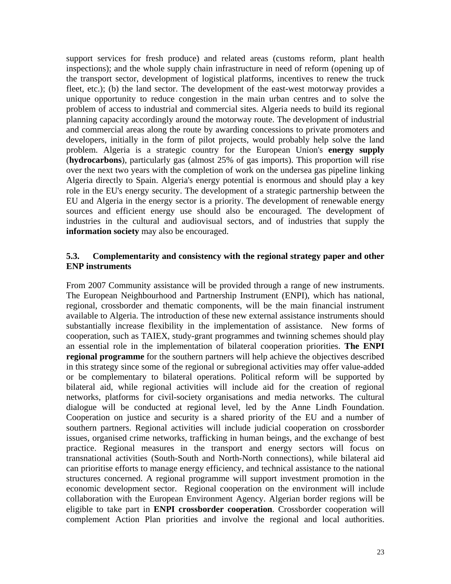support services for fresh produce) and related areas (customs reform, plant health inspections); and the whole supply chain infrastructure in need of reform (opening up of the transport sector, development of logistical platforms, incentives to renew the truck fleet, etc.); (b) the land sector. The development of the east-west motorway provides a unique opportunity to reduce congestion in the main urban centres and to solve the problem of access to industrial and commercial sites. Algeria needs to build its regional planning capacity accordingly around the motorway route. The development of industrial and commercial areas along the route by awarding concessions to private promoters and developers, initially in the form of pilot projects, would probably help solve the land problem. Algeria is a strategic country for the European Union's **energy supply**  (**hydrocarbons**), particularly gas (almost 25% of gas imports). This proportion will rise over the next two years with the completion of work on the undersea gas pipeline linking Algeria directly to Spain. Algeria's energy potential is enormous and should play a key role in the EU's energy security. The development of a strategic partnership between the EU and Algeria in the energy sector is a priority. The development of renewable energy sources and efficient energy use should also be encouraged. The development of industries in the cultural and audiovisual sectors, and of industries that supply the **information society** may also be encouraged.

#### **5.3. Complementarity and consistency with the regional strategy paper and other ENP instruments**

From 2007 Community assistance will be provided through a range of new instruments. The European Neighbourhood and Partnership Instrument (ENPI), which has national, regional, crossborder and thematic components, will be the main financial instrument available to Algeria. The introduction of these new external assistance instruments should substantially increase flexibility in the implementation of assistance. New forms of cooperation, such as TAIEX, study-grant programmes and twinning schemes should play an essential role in the implementation of bilateral cooperation priorities. **The ENPI regional programme** for the southern partners will help achieve the objectives described in this strategy since some of the regional or subregional activities may offer value-added or be complementary to bilateral operations. Political reform will be supported by bilateral aid, while regional activities will include aid for the creation of regional networks, platforms for civil-society organisations and media networks. The cultural dialogue will be conducted at regional level, led by the Anne Lindh Foundation. Cooperation on justice and security is a shared priority of the EU and a number of southern partners. Regional activities will include judicial cooperation on crossborder issues, organised crime networks, trafficking in human beings, and the exchange of best practice. Regional measures in the transport and energy sectors will focus on transnational activities (South-South and North-North connections), while bilateral aid can prioritise efforts to manage energy efficiency, and technical assistance to the national structures concerned. A regional programme will support investment promotion in the economic development sector. Regional cooperation on the environment will include collaboration with the European Environment Agency. Algerian border regions will be eligible to take part in **ENPI crossborder cooperation**. Crossborder cooperation will complement Action Plan priorities and involve the regional and local authorities.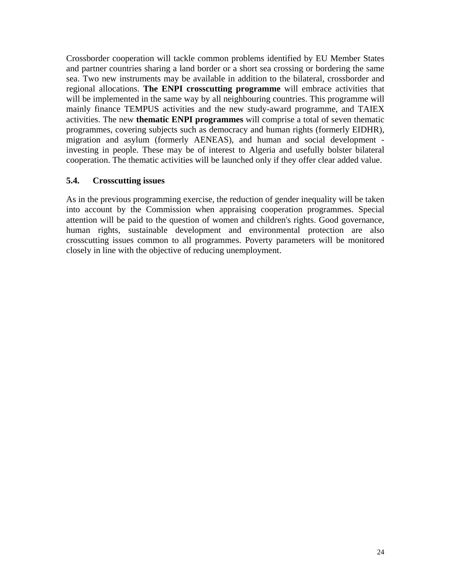Crossborder cooperation will tackle common problems identified by EU Member States and partner countries sharing a land border or a short sea crossing or bordering the same sea. Two new instruments may be available in addition to the bilateral, crossborder and regional allocations. **The ENPI crosscutting programme** will embrace activities that will be implemented in the same way by all neighbouring countries. This programme will mainly finance TEMPUS activities and the new study-award programme, and TAIEX activities. The new **thematic ENPI programmes** will comprise a total of seven thematic programmes, covering subjects such as democracy and human rights (formerly EIDHR), migration and asylum (formerly AENEAS), and human and social development investing in people. These may be of interest to Algeria and usefully bolster bilateral cooperation. The thematic activities will be launched only if they offer clear added value.

#### **5.4. Crosscutting issues**

As in the previous programming exercise, the reduction of gender inequality will be taken into account by the Commission when appraising cooperation programmes. Special attention will be paid to the question of women and children's rights. Good governance, human rights, sustainable development and environmental protection are also crosscutting issues common to all programmes. Poverty parameters will be monitored closely in line with the objective of reducing unemployment.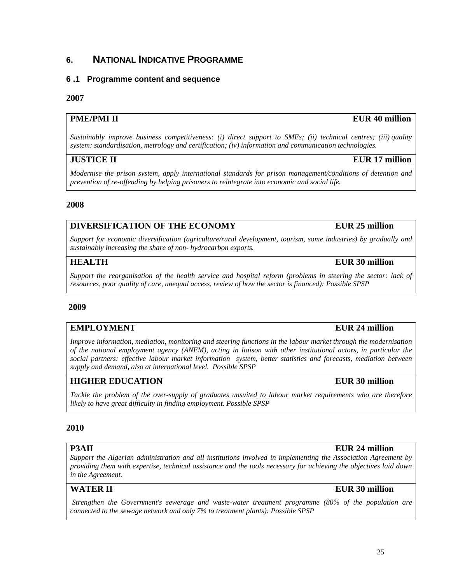# **6. NATIONAL INDICATIVE PROGRAMME**

#### **6 .1 Programme content and sequence**

#### **2007**

# **PME/PMI II EUR 40 million**

*Sustainably improve business competitiveness: (i) direct support to SMEs; (ii) technical centres; (iii) quality system: standardisation, metrology and certification; (iv) information and communication technologies.*

# **JUSTICE II** EUR 17 million

*Modernise the prison system, apply international standards for prison management/conditions of detention and prevention of re-offending by helping prisoners to reintegrate into economic and social life.*

#### **2008**

# **DIVERSIFICATION OF THE ECONOMY FOR EUR 25 million**

*Support for economic diversification (agriculture/rural development, tourism, some industries) by gradually and sustainably increasing the share of non- hydrocarbon exports.*

# **HEALTH** EUR 30 million

*Support the reorganisation of the health service and hospital reform (problems in steering the sector: lack of resources, poor quality of care, unequal access, review of how the sector is financed): Possible SPSP*

#### **2009**

# **EMPLOYMENT** EUR 24 million

*Improve information, mediation, monitoring and steering functions in the labour market through the modernisation of the national employment agency (ANEM), acting in liaison with other institutional actors, in particular the social partners: effective labour market information system, better statistics and forecasts, mediation between supply and demand, also at international level. Possible SPSP*

# **HIGHER EDUCATION EUR 30 million**

*Tackle the problem of the over-supply of graduates unsuited to labour market requirements who are therefore likely to have great difficulty in finding employment. Possible SPSP*

# **2010**

*Support the Algerian administration and all institutions involved in implementing the Association Agreement by providing them with expertise, technical assistance and the tools necessary for achieving the objectives laid down in the Agreement.*

*Strengthen the Government's sewerage and waste-water treatment programme (80% of the population are connected to the sewage network and only 7% to treatment plants): Possible SPSP*

# **P3AII EUR 24 million**

# **WATER II EUR 30 million**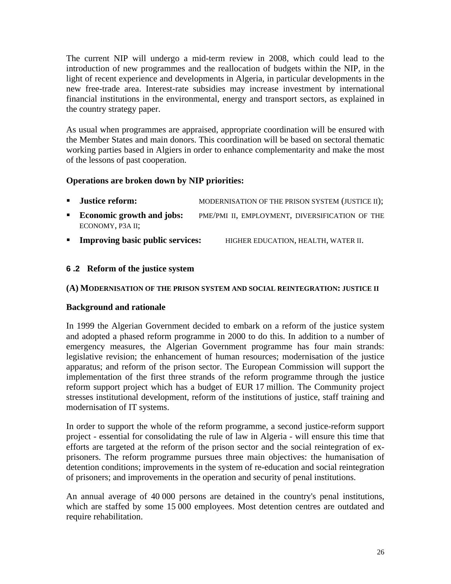The current NIP will undergo a mid-term review in 2008, which could lead to the introduction of new programmes and the reallocation of budgets within the NIP, in the light of recent experience and developments in Algeria, in particular developments in the new free-trade area. Interest-rate subsidies may increase investment by international financial institutions in the environmental, energy and transport sectors, as explained in the country strategy paper.

As usual when programmes are appraised, appropriate coordination will be ensured with the Member States and main donors. This coordination will be based on sectoral thematic working parties based in Algiers in order to enhance complementarity and make the most of the lessons of past cooperation.

# **Operations are broken down by NIP priorities:**

- **Justice reform:** MODERNISATION OF THE PRISON SYSTEM (JUSTICE II);
- **Economic growth and jobs:** PME/PMI II, EMPLOYMENT, DIVERSIFICATION OF THE ECONOMY, P3A II;
- **Improving basic public services:** HIGHER EDUCATION, HEALTH, WATER II.

# **6 .2 Reform of the justice system**

#### **(A) MODERNISATION OF THE PRISON SYSTEM AND SOCIAL REINTEGRATION: JUSTICE II**

#### **Background and rationale**

In 1999 the Algerian Government decided to embark on a reform of the justice system and adopted a phased reform programme in 2000 to do this. In addition to a number of emergency measures, the Algerian Government programme has four main strands: legislative revision; the enhancement of human resources; modernisation of the justice apparatus; and reform of the prison sector. The European Commission will support the implementation of the first three strands of the reform programme through the justice reform support project which has a budget of EUR 17 million. The Community project stresses institutional development, reform of the institutions of justice, staff training and modernisation of IT systems.

In order to support the whole of the reform programme, a second justice-reform support project - essential for consolidating the rule of law in Algeria - will ensure this time that efforts are targeted at the reform of the prison sector and the social reintegration of exprisoners. The reform programme pursues three main objectives: the humanisation of detention conditions; improvements in the system of re-education and social reintegration of prisoners; and improvements in the operation and security of penal institutions.

An annual average of 40 000 persons are detained in the country's penal institutions, which are staffed by some 15 000 employees. Most detention centres are outdated and require rehabilitation.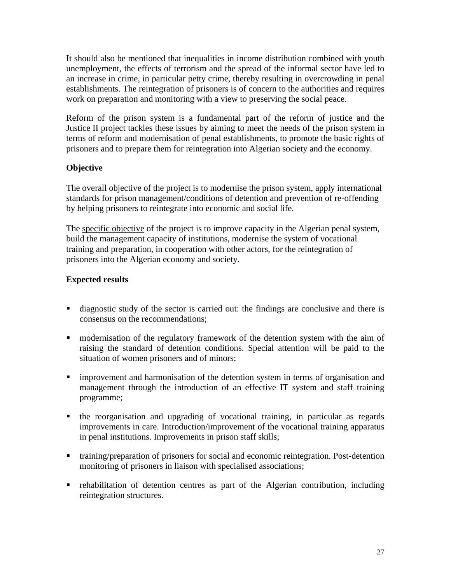It should also be mentioned that inequalities in income distribution combined with youth unemployment, the effects of terrorism and the spread of the informal sector have led to an increase in crime, in particular petty crime, thereby resulting in overcrowding in penal establishments. The reintegration of prisoners is of concern to the authorities and requires work on preparation and monitoring with a view to preserving the social peace.

Reform of the prison system is a fundamental part of the reform of justice and the Justice II project tackles these issues by aiming to meet the needs of the prison system in terms of reform and modernisation of penal establishments, to promote the basic rights of prisoners and to prepare them for reintegration into Algerian society and the economy.

# **Objective**

The overall objective of the project is to modernise the prison system, apply international standards for prison management/conditions of detention and prevention of re-offending by helping prisoners to reintegrate into economic and social life.

The specific objective of the project is to improve capacity in the Algerian penal system, build the management capacity of institutions, modernise the system of vocational training and preparation, in cooperation with other actors, for the reintegration of prisoners into the Algerian economy and society.

# **Expected results**

- diagnostic study of the sector is carried out: the findings are conclusive and there is consensus on the recommendations;
- modernisation of the regulatory framework of the detention system with the aim of raising the standard of detention conditions. Special attention will be paid to the situation of women prisoners and of minors;
- **Influentially improvement and harmonisation of the detention system in terms of organisation and** management through the introduction of an effective IT system and staff training programme;
- the reorganisation and upgrading of vocational training, in particular as regards improvements in care. Introduction/improvement of the vocational training apparatus in penal institutions. Improvements in prison staff skills;
- training/preparation of prisoners for social and economic reintegration. Post-detention monitoring of prisoners in liaison with specialised associations;
- rehabilitation of detention centres as part of the Algerian contribution, including reintegration structures.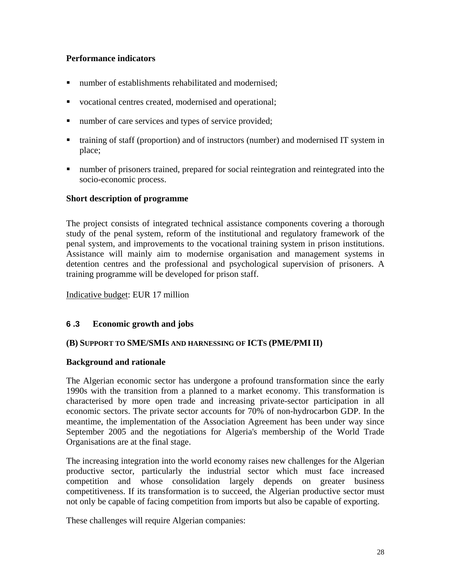# **Performance indicators**

- number of establishments rehabilitated and modernised;
- vocational centres created, modernised and operational;
- number of care services and types of service provided;
- training of staff (proportion) and of instructors (number) and modernised IT system in place;
- number of prisoners trained, prepared for social reintegration and reintegrated into the socio-economic process.

# **Short description of programme**

The project consists of integrated technical assistance components covering a thorough study of the penal system, reform of the institutional and regulatory framework of the penal system, and improvements to the vocational training system in prison institutions. Assistance will mainly aim to modernise organisation and management systems in detention centres and the professional and psychological supervision of prisoners. A training programme will be developed for prison staff.

Indicative budget: EUR 17 million

# **6 .3 Economic growth and jobs**

# **(B) SUPPORT TO SME/SMIS AND HARNESSING OF ICTS (PME/PMI II)**

# **Background and rationale**

The Algerian economic sector has undergone a profound transformation since the early 1990s with the transition from a planned to a market economy. This transformation is characterised by more open trade and increasing private-sector participation in all economic sectors. The private sector accounts for 70% of non-hydrocarbon GDP. In the meantime, the implementation of the Association Agreement has been under way since September 2005 and the negotiations for Algeria's membership of the World Trade Organisations are at the final stage.

The increasing integration into the world economy raises new challenges for the Algerian productive sector, particularly the industrial sector which must face increased competition and whose consolidation largely depends on greater business competitiveness. If its transformation is to succeed, the Algerian productive sector must not only be capable of facing competition from imports but also be capable of exporting.

These challenges will require Algerian companies: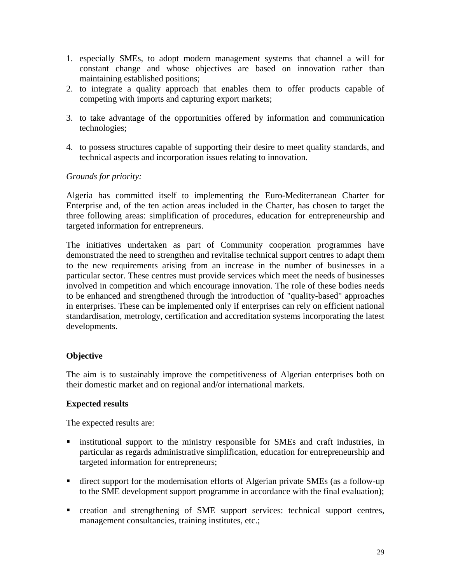- 1. especially SMEs, to adopt modern management systems that channel a will for constant change and whose objectives are based on innovation rather than maintaining established positions;
- 2. to integrate a quality approach that enables them to offer products capable of competing with imports and capturing export markets;
- 3. to take advantage of the opportunities offered by information and communication technologies;
- 4. to possess structures capable of supporting their desire to meet quality standards, and technical aspects and incorporation issues relating to innovation.

#### *Grounds for priority:*

Algeria has committed itself to implementing the Euro-Mediterranean Charter for Enterprise and, of the ten action areas included in the Charter, has chosen to target the three following areas: simplification of procedures, education for entrepreneurship and targeted information for entrepreneurs.

The initiatives undertaken as part of Community cooperation programmes have demonstrated the need to strengthen and revitalise technical support centres to adapt them to the new requirements arising from an increase in the number of businesses in a particular sector. These centres must provide services which meet the needs of businesses involved in competition and which encourage innovation. The role of these bodies needs to be enhanced and strengthened through the introduction of "quality-based" approaches in enterprises. These can be implemented only if enterprises can rely on efficient national standardisation, metrology, certification and accreditation systems incorporating the latest developments.

# **Objective**

The aim is to sustainably improve the competitiveness of Algerian enterprises both on their domestic market and on regional and/or international markets.

# **Expected results**

The expected results are:

- **Exercise institutional support to the ministry responsible for SMEs and craft industries, in** particular as regards administrative simplification, education for entrepreneurship and targeted information for entrepreneurs;
- direct support for the modernisation efforts of Algerian private SMEs (as a follow-up to the SME development support programme in accordance with the final evaluation);
- creation and strengthening of SME support services: technical support centres, management consultancies, training institutes, etc.;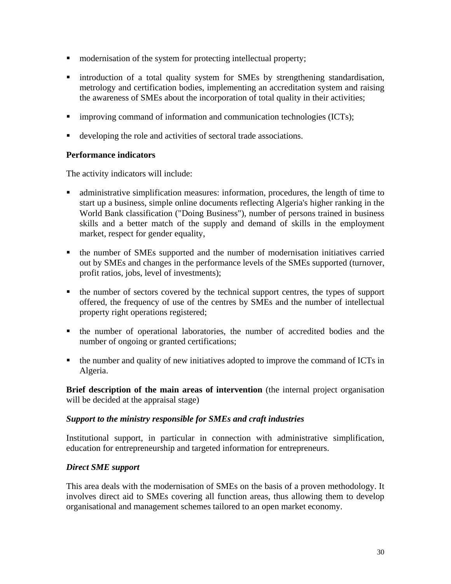- $\blacksquare$  modernisation of the system for protecting intellectual property;
- introduction of a total quality system for SMEs by strengthening standardisation, metrology and certification bodies, implementing an accreditation system and raising the awareness of SMEs about the incorporation of total quality in their activities;
- $\blacksquare$  improving command of information and communication technologies (ICTs);
- developing the role and activities of sectoral trade associations.

# **Performance indicators**

The activity indicators will include:

- administrative simplification measures: information, procedures, the length of time to start up a business, simple online documents reflecting Algeria's higher ranking in the World Bank classification ("Doing Business"), number of persons trained in business skills and a better match of the supply and demand of skills in the employment market, respect for gender equality,
- the number of SMEs supported and the number of modernisation initiatives carried out by SMEs and changes in the performance levels of the SMEs supported (turnover, profit ratios, jobs, level of investments);
- the number of sectors covered by the technical support centres, the types of support offered, the frequency of use of the centres by SMEs and the number of intellectual property right operations registered;
- the number of operational laboratories, the number of accredited bodies and the number of ongoing or granted certifications;
- the number and quality of new initiatives adopted to improve the command of ICTs in Algeria.

**Brief description of the main areas of intervention** (the internal project organisation will be decided at the appraisal stage)

# *Support to the ministry responsible for SMEs and craft industries*

Institutional support, in particular in connection with administrative simplification, education for entrepreneurship and targeted information for entrepreneurs.

# *Direct SME support*

This area deals with the modernisation of SMEs on the basis of a proven methodology. It involves direct aid to SMEs covering all function areas, thus allowing them to develop organisational and management schemes tailored to an open market economy.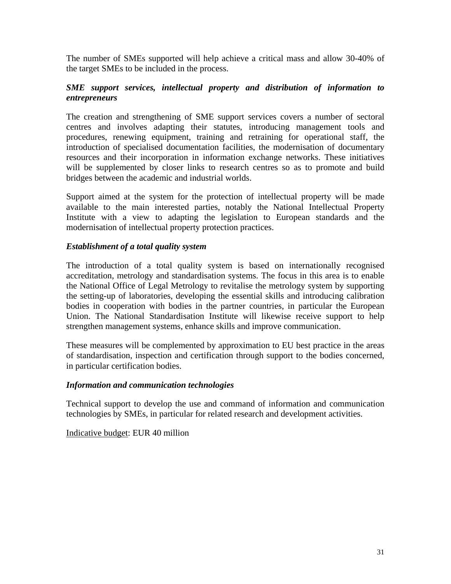The number of SMEs supported will help achieve a critical mass and allow 30-40% of the target SMEs to be included in the process.

#### *SME support services, intellectual property and distribution of information to entrepreneurs*

The creation and strengthening of SME support services covers a number of sectoral centres and involves adapting their statutes, introducing management tools and procedures, renewing equipment, training and retraining for operational staff, the introduction of specialised documentation facilities, the modernisation of documentary resources and their incorporation in information exchange networks. These initiatives will be supplemented by closer links to research centres so as to promote and build bridges between the academic and industrial worlds.

Support aimed at the system for the protection of intellectual property will be made available to the main interested parties, notably the National Intellectual Property Institute with a view to adapting the legislation to European standards and the modernisation of intellectual property protection practices.

#### *Establishment of a total quality system*

The introduction of a total quality system is based on internationally recognised accreditation, metrology and standardisation systems. The focus in this area is to enable the National Office of Legal Metrology to revitalise the metrology system by supporting the setting-up of laboratories, developing the essential skills and introducing calibration bodies in cooperation with bodies in the partner countries, in particular the European Union. The National Standardisation Institute will likewise receive support to help strengthen management systems, enhance skills and improve communication.

These measures will be complemented by approximation to EU best practice in the areas of standardisation, inspection and certification through support to the bodies concerned, in particular certification bodies.

#### *Information and communication technologies*

Technical support to develop the use and command of information and communication technologies by SMEs, in particular for related research and development activities.

Indicative budget: EUR 40 million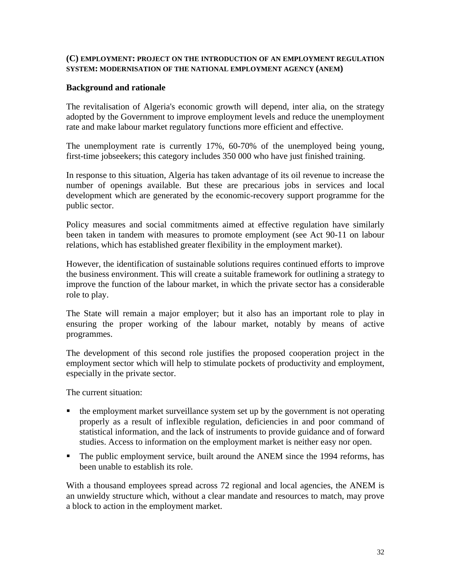#### **(C) EMPLOYMENT: PROJECT ON THE INTRODUCTION OF AN EMPLOYMENT REGULATION SYSTEM: MODERNISATION OF THE NATIONAL EMPLOYMENT AGENCY (ANEM)**

#### **Background and rationale**

The revitalisation of Algeria's economic growth will depend, inter alia, on the strategy adopted by the Government to improve employment levels and reduce the unemployment rate and make labour market regulatory functions more efficient and effective.

The unemployment rate is currently 17%, 60-70% of the unemployed being young, first-time jobseekers; this category includes 350 000 who have just finished training.

In response to this situation, Algeria has taken advantage of its oil revenue to increase the number of openings available. But these are precarious jobs in services and local development which are generated by the economic-recovery support programme for the public sector.

Policy measures and social commitments aimed at effective regulation have similarly been taken in tandem with measures to promote employment (see Act 90-11 on labour relations, which has established greater flexibility in the employment market).

However, the identification of sustainable solutions requires continued efforts to improve the business environment. This will create a suitable framework for outlining a strategy to improve the function of the labour market, in which the private sector has a considerable role to play.

The State will remain a major employer; but it also has an important role to play in ensuring the proper working of the labour market, notably by means of active programmes.

The development of this second role justifies the proposed cooperation project in the employment sector which will help to stimulate pockets of productivity and employment, especially in the private sector.

The current situation:

- the employment market surveillance system set up by the government is not operating properly as a result of inflexible regulation, deficiencies in and poor command of statistical information, and the lack of instruments to provide guidance and of forward studies. Access to information on the employment market is neither easy nor open.
- The public employment service, built around the ANEM since the 1994 reforms, has been unable to establish its role.

With a thousand employees spread across 72 regional and local agencies, the ANEM is an unwieldy structure which, without a clear mandate and resources to match, may prove a block to action in the employment market.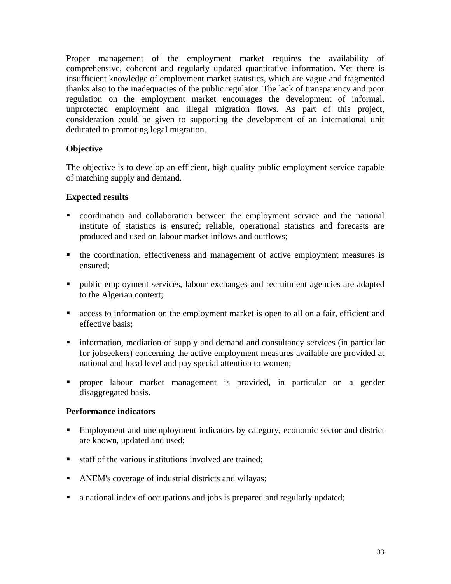Proper management of the employment market requires the availability of comprehensive, coherent and regularly updated quantitative information. Yet there is insufficient knowledge of employment market statistics, which are vague and fragmented thanks also to the inadequacies of the public regulator. The lack of transparency and poor regulation on the employment market encourages the development of informal, unprotected employment and illegal migration flows. As part of this project, consideration could be given to supporting the development of an international unit dedicated to promoting legal migration.

# **Objective**

The objective is to develop an efficient, high quality public employment service capable of matching supply and demand.

# **Expected results**

- coordination and collaboration between the employment service and the national institute of statistics is ensured; reliable, operational statistics and forecasts are produced and used on labour market inflows and outflows;
- the coordination, effectiveness and management of active employment measures is ensured;
- public employment services, labour exchanges and recruitment agencies are adapted to the Algerian context;
- access to information on the employment market is open to all on a fair, efficient and effective basis;
- **information, mediation of supply and demand and consultancy services (in particular** for jobseekers) concerning the active employment measures available are provided at national and local level and pay special attention to women;
- proper labour market management is provided, in particular on a gender disaggregated basis.

# **Performance indicators**

- Employment and unemployment indicators by category, economic sector and district are known, updated and used;
- staff of the various institutions involved are trained:
- ANEM's coverage of industrial districts and wilayas;
- a national index of occupations and jobs is prepared and regularly updated;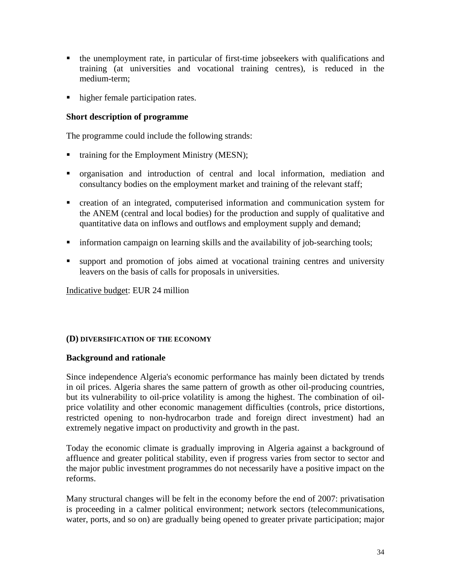- the unemployment rate, in particular of first-time jobseekers with qualifications and training (at universities and vocational training centres), is reduced in the medium-term;
- higher female participation rates.

#### **Short description of programme**

The programme could include the following strands:

- training for the Employment Ministry (MESN);
- organisation and introduction of central and local information, mediation and consultancy bodies on the employment market and training of the relevant staff;
- creation of an integrated, computerised information and communication system for the ANEM (central and local bodies) for the production and supply of qualitative and quantitative data on inflows and outflows and employment supply and demand;
- **Information campaign on learning skills and the availability of job-searching tools;**
- support and promotion of jobs aimed at vocational training centres and university leavers on the basis of calls for proposals in universities.

Indicative budget: EUR 24 million

#### **(D) DIVERSIFICATION OF THE ECONOMY**

#### **Background and rationale**

Since independence Algeria's economic performance has mainly been dictated by trends in oil prices. Algeria shares the same pattern of growth as other oil-producing countries, but its vulnerability to oil-price volatility is among the highest. The combination of oilprice volatility and other economic management difficulties (controls, price distortions, restricted opening to non-hydrocarbon trade and foreign direct investment) had an extremely negative impact on productivity and growth in the past.

Today the economic climate is gradually improving in Algeria against a background of affluence and greater political stability, even if progress varies from sector to sector and the major public investment programmes do not necessarily have a positive impact on the reforms.

Many structural changes will be felt in the economy before the end of 2007: privatisation is proceeding in a calmer political environment; network sectors (telecommunications, water, ports, and so on) are gradually being opened to greater private participation; major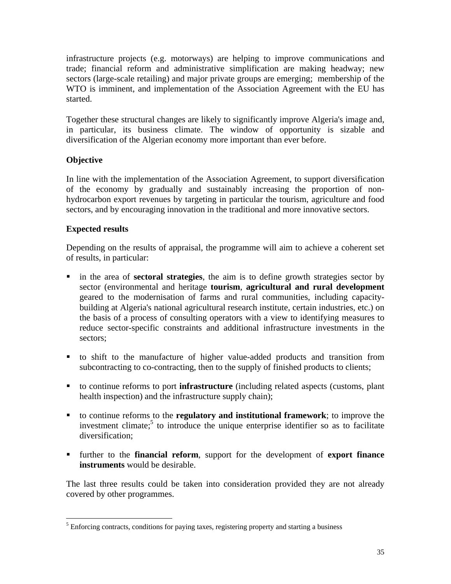infrastructure projects (e.g. motorways) are helping to improve communications and trade; financial reform and administrative simplification are making headway; new sectors (large-scale retailing) and major private groups are emerging; membership of the WTO is imminent, and implementation of the Association Agreement with the EU has started.

Together these structural changes are likely to significantly improve Algeria's image and, in particular, its business climate. The window of opportunity is sizable and diversification of the Algerian economy more important than ever before.

# **Objective**

In line with the implementation of the Association Agreement, to support diversification of the economy by gradually and sustainably increasing the proportion of nonhydrocarbon export revenues by targeting in particular the tourism, agriculture and food sectors, and by encouraging innovation in the traditional and more innovative sectors.

# **Expected results**

<u>.</u>

Depending on the results of appraisal, the programme will aim to achieve a coherent set of results, in particular:

- in the area of **sectoral strategies**, the aim is to define growth strategies sector by sector (environmental and heritage **tourism**, **agricultural and rural development** geared to the modernisation of farms and rural communities, including capacitybuilding at Algeria's national agricultural research institute, certain industries, etc.) on the basis of a process of consulting operators with a view to identifying measures to reduce sector-specific constraints and additional infrastructure investments in the sectors;
- to shift to the manufacture of higher value-added products and transition from subcontracting to co-contracting, then to the supply of finished products to clients;
- to continue reforms to port **infrastructure** (including related aspects (customs, plant health inspection) and the infrastructure supply chain);
- to continue reforms to the **regulatory and institutional framework**; to improve the investment climate;<sup>5</sup> to introduce the unique enterprise identifier so as to facilitate diversification;
- further to the **financial reform**, support for the development of **export finance instruments** would be desirable.

The last three results could be taken into consideration provided they are not already covered by other programmes.

 $<sup>5</sup>$  Enforcing contracts, conditions for paying taxes, registering property and starting a business</sup>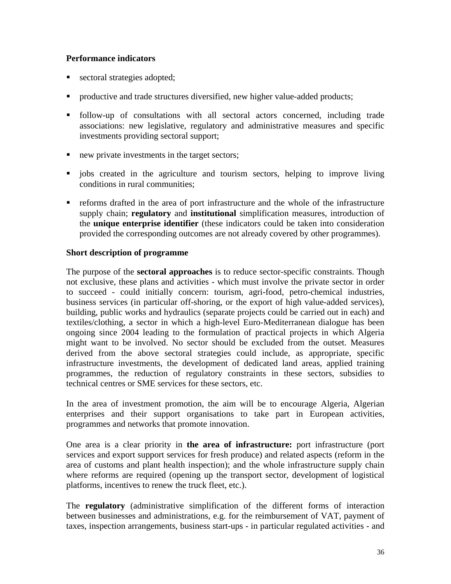# **Performance indicators**

- sectoral strategies adopted;
- productive and trade structures diversified, new higher value-added products;
- follow-up of consultations with all sectoral actors concerned, including trade associations: new legislative, regulatory and administrative measures and specific investments providing sectoral support;
- new private investments in the target sectors;
- jobs created in the agriculture and tourism sectors, helping to improve living conditions in rural communities;
- reforms drafted in the area of port infrastructure and the whole of the infrastructure supply chain; **regulatory** and **institutional** simplification measures, introduction of the **unique enterprise identifier** (these indicators could be taken into consideration provided the corresponding outcomes are not already covered by other programmes).

# **Short description of programme**

The purpose of the **sectoral approaches** is to reduce sector-specific constraints. Though not exclusive, these plans and activities - which must involve the private sector in order to succeed - could initially concern: tourism, agri-food, petro-chemical industries, business services (in particular off-shoring, or the export of high value-added services), building, public works and hydraulics (separate projects could be carried out in each) and textiles/clothing, a sector in which a high-level Euro-Mediterranean dialogue has been ongoing since 2004 leading to the formulation of practical projects in which Algeria might want to be involved. No sector should be excluded from the outset. Measures derived from the above sectoral strategies could include, as appropriate, specific infrastructure investments, the development of dedicated land areas, applied training programmes, the reduction of regulatory constraints in these sectors, subsidies to technical centres or SME services for these sectors, etc.

In the area of investment promotion, the aim will be to encourage Algeria, Algerian enterprises and their support organisations to take part in European activities, programmes and networks that promote innovation.

One area is a clear priority in **the area of infrastructure:** port infrastructure (port services and export support services for fresh produce) and related aspects (reform in the area of customs and plant health inspection); and the whole infrastructure supply chain where reforms are required (opening up the transport sector, development of logistical platforms, incentives to renew the truck fleet, etc.).

The **regulatory** (administrative simplification of the different forms of interaction between businesses and administrations, e.g. for the reimbursement of VAT, payment of taxes, inspection arrangements, business start-ups - in particular regulated activities - and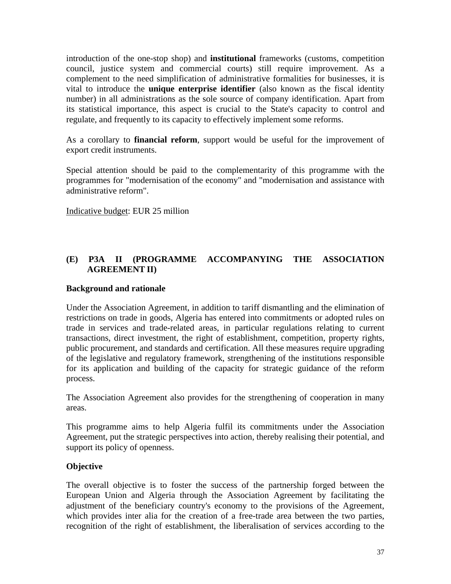introduction of the one-stop shop) and **institutional** frameworks (customs, competition council, justice system and commercial courts) still require improvement. As a complement to the need simplification of administrative formalities for businesses, it is vital to introduce the **unique enterprise identifier** (also known as the fiscal identity number) in all administrations as the sole source of company identification. Apart from its statistical importance, this aspect is crucial to the State's capacity to control and regulate, and frequently to its capacity to effectively implement some reforms.

As a corollary to **financial reform**, support would be useful for the improvement of export credit instruments.

Special attention should be paid to the complementarity of this programme with the programmes for "modernisation of the economy" and "modernisation and assistance with administrative reform".

Indicative budget: EUR 25 million

# **(E) P3A II (PROGRAMME ACCOMPANYING THE ASSOCIATION AGREEMENT II)**

#### **Background and rationale**

Under the Association Agreement, in addition to tariff dismantling and the elimination of restrictions on trade in goods, Algeria has entered into commitments or adopted rules on trade in services and trade-related areas, in particular regulations relating to current transactions, direct investment, the right of establishment, competition, property rights, public procurement, and standards and certification. All these measures require upgrading of the legislative and regulatory framework, strengthening of the institutions responsible for its application and building of the capacity for strategic guidance of the reform process.

The Association Agreement also provides for the strengthening of cooperation in many areas.

This programme aims to help Algeria fulfil its commitments under the Association Agreement, put the strategic perspectives into action, thereby realising their potential, and support its policy of openness.

#### **Objective**

The overall objective is to foster the success of the partnership forged between the European Union and Algeria through the Association Agreement by facilitating the adjustment of the beneficiary country's economy to the provisions of the Agreement, which provides inter alia for the creation of a free-trade area between the two parties, recognition of the right of establishment, the liberalisation of services according to the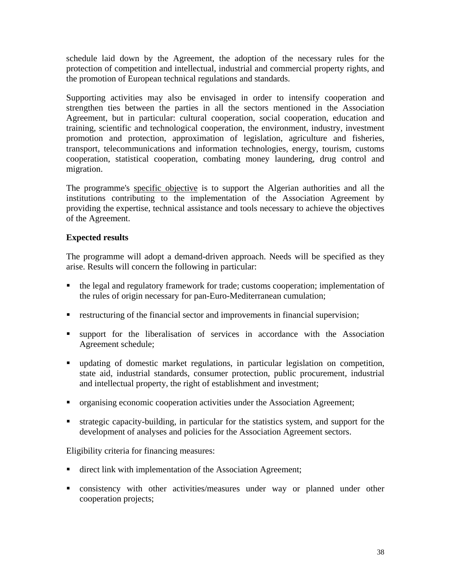schedule laid down by the Agreement, the adoption of the necessary rules for the protection of competition and intellectual, industrial and commercial property rights, and the promotion of European technical regulations and standards.

Supporting activities may also be envisaged in order to intensify cooperation and strengthen ties between the parties in all the sectors mentioned in the Association Agreement, but in particular: cultural cooperation, social cooperation, education and training, scientific and technological cooperation, the environment, industry, investment promotion and protection, approximation of legislation, agriculture and fisheries, transport, telecommunications and information technologies, energy, tourism, customs cooperation, statistical cooperation, combating money laundering, drug control and migration.

The programme's specific objective is to support the Algerian authorities and all the institutions contributing to the implementation of the Association Agreement by providing the expertise, technical assistance and tools necessary to achieve the objectives of the Agreement.

# **Expected results**

The programme will adopt a demand-driven approach. Needs will be specified as they arise. Results will concern the following in particular:

- the legal and regulatory framework for trade; customs cooperation; implementation of the rules of origin necessary for pan-Euro-Mediterranean cumulation;
- **Exercise 1** restructuring of the financial sector and improvements in financial supervision;
- support for the liberalisation of services in accordance with the Association Agreement schedule;
- updating of domestic market regulations, in particular legislation on competition, state aid, industrial standards, consumer protection, public procurement, industrial and intellectual property, the right of establishment and investment;
- organising economic cooperation activities under the Association Agreement;
- strategic capacity-building, in particular for the statistics system, and support for the development of analyses and policies for the Association Agreement sectors.

Eligibility criteria for financing measures:

- direct link with implementation of the Association Agreement;
- consistency with other activities/measures under way or planned under other cooperation projects;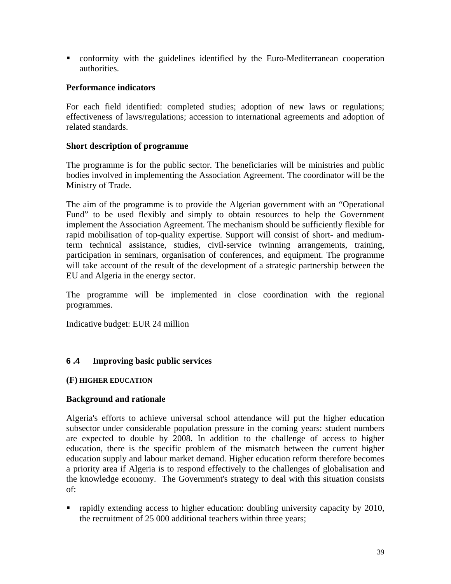conformity with the guidelines identified by the Euro-Mediterranean cooperation authorities.

#### **Performance indicators**

For each field identified: completed studies; adoption of new laws or regulations; effectiveness of laws/regulations; accession to international agreements and adoption of related standards.

#### **Short description of programme**

The programme is for the public sector. The beneficiaries will be ministries and public bodies involved in implementing the Association Agreement. The coordinator will be the Ministry of Trade.

The aim of the programme is to provide the Algerian government with an "Operational Fund" to be used flexibly and simply to obtain resources to help the Government implement the Association Agreement. The mechanism should be sufficiently flexible for rapid mobilisation of top-quality expertise. Support will consist of short- and mediumterm technical assistance, studies, civil-service twinning arrangements, training, participation in seminars, organisation of conferences, and equipment. The programme will take account of the result of the development of a strategic partnership between the EU and Algeria in the energy sector.

The programme will be implemented in close coordination with the regional programmes.

Indicative budget: EUR 24 million

#### **6 .4 Improving basic public services**

#### **(F) HIGHER EDUCATION**

#### **Background and rationale**

Algeria's efforts to achieve universal school attendance will put the higher education subsector under considerable population pressure in the coming years: student numbers are expected to double by 2008. In addition to the challenge of access to higher education, there is the specific problem of the mismatch between the current higher education supply and labour market demand. Higher education reform therefore becomes a priority area if Algeria is to respond effectively to the challenges of globalisation and the knowledge economy. The Government's strategy to deal with this situation consists of:

• rapidly extending access to higher education: doubling university capacity by 2010, the recruitment of 25 000 additional teachers within three years;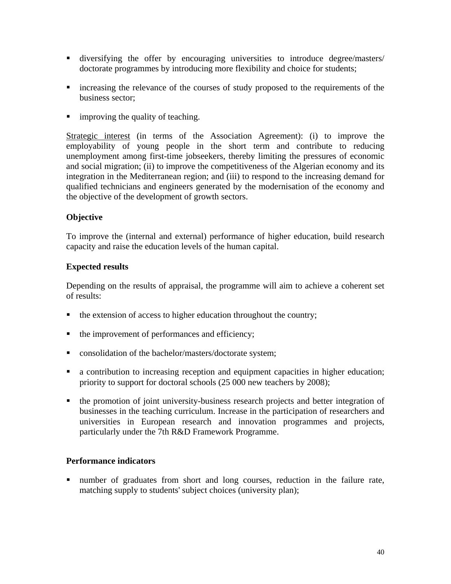- diversifying the offer by encouraging universities to introduce degree/masters/ doctorate programmes by introducing more flexibility and choice for students;
- increasing the relevance of the courses of study proposed to the requirements of the business sector;
- **If** improving the quality of teaching.

Strategic interest (in terms of the Association Agreement): (i) to improve the employability of young people in the short term and contribute to reducing unemployment among first-time jobseekers, thereby limiting the pressures of economic and social migration; (ii) to improve the competitiveness of the Algerian economy and its integration in the Mediterranean region; and (iii) to respond to the increasing demand for qualified technicians and engineers generated by the modernisation of the economy and the objective of the development of growth sectors.

#### **Objective**

To improve the (internal and external) performance of higher education, build research capacity and raise the education levels of the human capital.

#### **Expected results**

Depending on the results of appraisal, the programme will aim to achieve a coherent set of results:

- $\blacksquare$  the extension of access to higher education throughout the country;
- $\blacksquare$  the improvement of performances and efficiency;
- **Consolidation of the bachelor/masters/doctorate system;**
- a contribution to increasing reception and equipment capacities in higher education; priority to support for doctoral schools (25 000 new teachers by 2008);
- the promotion of joint university-business research projects and better integration of businesses in the teaching curriculum. Increase in the participation of researchers and universities in European research and innovation programmes and projects, particularly under the 7th R&D Framework Programme.

#### **Performance indicators**

number of graduates from short and long courses, reduction in the failure rate, matching supply to students' subject choices (university plan);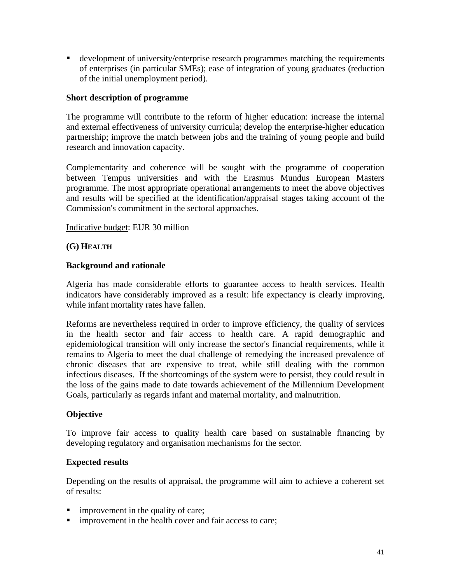development of university/enterprise research programmes matching the requirements of enterprises (in particular SMEs); ease of integration of young graduates (reduction of the initial unemployment period).

#### **Short description of programme**

The programme will contribute to the reform of higher education: increase the internal and external effectiveness of university curricula; develop the enterprise-higher education partnership; improve the match between jobs and the training of young people and build research and innovation capacity.

Complementarity and coherence will be sought with the programme of cooperation between Tempus universities and with the Erasmus Mundus European Masters programme. The most appropriate operational arrangements to meet the above objectives and results will be specified at the identification/appraisal stages taking account of the Commission's commitment in the sectoral approaches.

#### Indicative budget: EUR 30 million

#### **(G) HEALTH**

#### **Background and rationale**

Algeria has made considerable efforts to guarantee access to health services. Health indicators have considerably improved as a result: life expectancy is clearly improving, while infant mortality rates have fallen.

Reforms are nevertheless required in order to improve efficiency, the quality of services in the health sector and fair access to health care. A rapid demographic and epidemiological transition will only increase the sector's financial requirements, while it remains to Algeria to meet the dual challenge of remedying the increased prevalence of chronic diseases that are expensive to treat, while still dealing with the common infectious diseases. If the shortcomings of the system were to persist, they could result in the loss of the gains made to date towards achievement of the Millennium Development Goals, particularly as regards infant and maternal mortality, and malnutrition.

#### **Objective**

To improve fair access to quality health care based on sustainable financing by developing regulatory and organisation mechanisms for the sector.

#### **Expected results**

Depending on the results of appraisal, the programme will aim to achieve a coherent set of results:

- **improvement in the quality of care;**
- **improvement in the health cover and fair access to care;**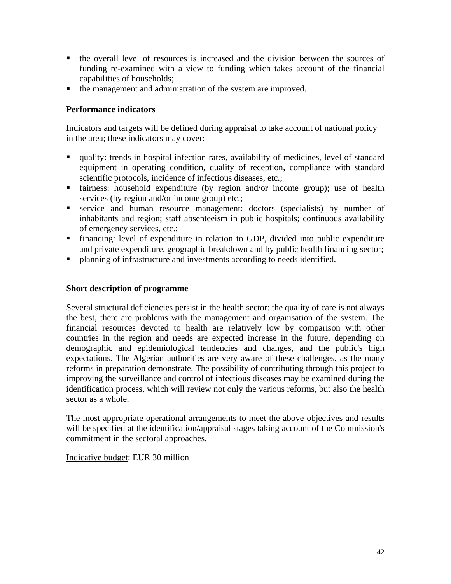- the overall level of resources is increased and the division between the sources of funding re-examined with a view to funding which takes account of the financial capabilities of households;
- the management and administration of the system are improved.

# **Performance indicators**

Indicators and targets will be defined during appraisal to take account of national policy in the area; these indicators may cover:

- quality: trends in hospital infection rates, availability of medicines, level of standard equipment in operating condition, quality of reception, compliance with standard scientific protocols, incidence of infectious diseases, etc.;
- fairness: household expenditure (by region and/or income group); use of health services (by region and/or income group) etc.;
- service and human resource management: doctors (specialists) by number of inhabitants and region; staff absenteeism in public hospitals; continuous availability of emergency services, etc.;
- financing: level of expenditure in relation to GDP, divided into public expenditure and private expenditure, geographic breakdown and by public health financing sector;
- planning of infrastructure and investments according to needs identified.

#### **Short description of programme**

Several structural deficiencies persist in the health sector: the quality of care is not always the best, there are problems with the management and organisation of the system. The financial resources devoted to health are relatively low by comparison with other countries in the region and needs are expected increase in the future, depending on demographic and epidemiological tendencies and changes, and the public's high expectations. The Algerian authorities are very aware of these challenges, as the many reforms in preparation demonstrate. The possibility of contributing through this project to improving the surveillance and control of infectious diseases may be examined during the identification process, which will review not only the various reforms, but also the health sector as a whole.

The most appropriate operational arrangements to meet the above objectives and results will be specified at the identification/appraisal stages taking account of the Commission's commitment in the sectoral approaches.

Indicative budget: EUR 30 million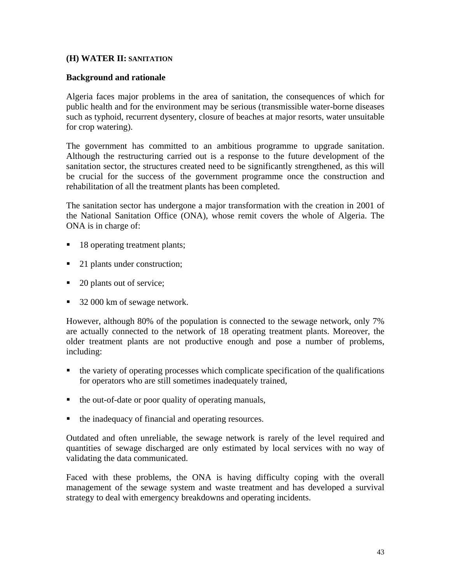#### **(H) WATER II: SANITATION**

#### **Background and rationale**

Algeria faces major problems in the area of sanitation, the consequences of which for public health and for the environment may be serious (transmissible water-borne diseases such as typhoid, recurrent dysentery, closure of beaches at major resorts, water unsuitable for crop watering).

The government has committed to an ambitious programme to upgrade sanitation. Although the restructuring carried out is a response to the future development of the sanitation sector, the structures created need to be significantly strengthened, as this will be crucial for the success of the government programme once the construction and rehabilitation of all the treatment plants has been completed.

The sanitation sector has undergone a major transformation with the creation in 2001 of the National Sanitation Office (ONA), whose remit covers the whole of Algeria. The ONA is in charge of:

- 18 operating treatment plants;
- 21 plants under construction;
- 20 plants out of service;
- 32 000 km of sewage network.

However, although 80% of the population is connected to the sewage network, only 7% are actually connected to the network of 18 operating treatment plants. Moreover, the older treatment plants are not productive enough and pose a number of problems, including:

- the variety of operating processes which complicate specification of the qualifications for operators who are still sometimes inadequately trained,
- the out-of-date or poor quality of operating manuals,
- the inadequacy of financial and operating resources.

Outdated and often unreliable, the sewage network is rarely of the level required and quantities of sewage discharged are only estimated by local services with no way of validating the data communicated.

Faced with these problems, the ONA is having difficulty coping with the overall management of the sewage system and waste treatment and has developed a survival strategy to deal with emergency breakdowns and operating incidents.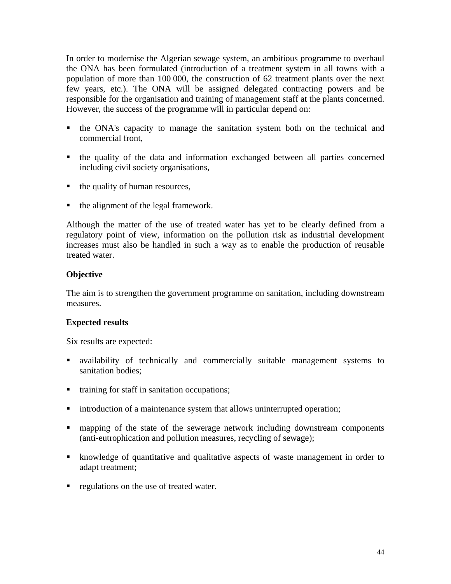In order to modernise the Algerian sewage system, an ambitious programme to overhaul the ONA has been formulated (introduction of a treatment system in all towns with a population of more than 100 000, the construction of 62 treatment plants over the next few years, etc.). The ONA will be assigned delegated contracting powers and be responsible for the organisation and training of management staff at the plants concerned. However, the success of the programme will in particular depend on:

- the ONA's capacity to manage the sanitation system both on the technical and commercial front,
- the quality of the data and information exchanged between all parties concerned including civil society organisations,
- $\blacksquare$  the quality of human resources,
- $\blacksquare$  the alignment of the legal framework.

Although the matter of the use of treated water has yet to be clearly defined from a regulatory point of view, information on the pollution risk as industrial development increases must also be handled in such a way as to enable the production of reusable treated water.

# **Objective**

The aim is to strengthen the government programme on sanitation, including downstream measures.

# **Expected results**

Six results are expected:

- availability of technically and commercially suitable management systems to sanitation bodies;
- training for staff in sanitation occupations;
- introduction of a maintenance system that allows uninterrupted operation;
- mapping of the state of the sewerage network including downstream components (anti-eutrophication and pollution measures, recycling of sewage);
- knowledge of quantitative and qualitative aspects of waste management in order to adapt treatment;
- regulations on the use of treated water.